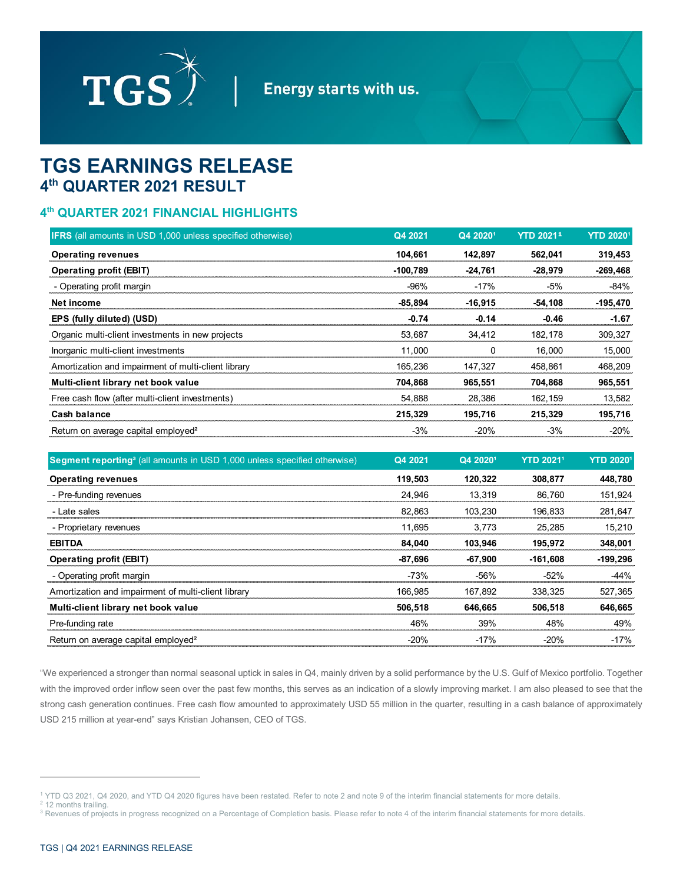

# **TGS EARNINGS RELEASE 4th QUARTER 2021 RESULT**

# **4th QUARTER 2021 FINANCIAL HIGHLIGHTS**

| <b>IFRS</b> (all amounts in USD 1,000 unless specified otherwise) | Q4 2021   | Q4 2020 <sup>1</sup> | <b>YTD 20211</b> | <b>YTD 20201</b> |
|-------------------------------------------------------------------|-----------|----------------------|------------------|------------------|
| <b>Operating revenues</b>                                         | 104,661   | 142.897              | 562.041          | 319,453          |
| <b>Operating profit (EBIT)</b>                                    | -100.789  | $-24.761$            | -28,979          | $-269,468$       |
| - Operating profit margin                                         | $-96%$    | $-17%$               | -5%              | -84%             |
| Net income                                                        | $-85.894$ | $-16,915$            | -54,108          | $-195,470$       |
| EPS (fully diluted) (USD)                                         | $-0.74$   | $-0.14$              | $-0.46$          | $-1.67$          |
| Organic multi-client investments in new projects                  | 53.687    | 34,412               | 182.178          | 309,327          |
| Inorganic multi-client investments                                | 11.000    | <sup>n</sup>         | 16.000           | 15,000           |
| Amortization and impairment of multi-client library               | 165.236   | 147.327              | 458.861          | 468,209          |
| Multi-client library net book value                               | 704,868   | 965,551              | 704.868          | 965,551          |
| Free cash flow (after multi-client investments)                   | 54.888    | 28.386               | 162.159          | 13,582           |
| Cash balance                                                      | 215,329   | 195.716              | 215.329          | 195,716          |
| Return on average capital employed <sup>2</sup>                   | $-3%$     | $-20%$               | $-3%$            | $-20%$           |

| <b>Seqment reporting<sup>3</sup></b> (all amounts in USD 1,000 unless specified otherwise) | Q4 2021 | Q4 2020 <sup>1</sup> | <b>YTD 20211</b> | <b>YTD 20201</b> |
|--------------------------------------------------------------------------------------------|---------|----------------------|------------------|------------------|
| <b>Operating revenues</b>                                                                  | 119,503 | 120,322              | 308,877          | 448,780          |
| - Pre-funding revenues                                                                     | 24.946  | 13.319               | 86.760           | 151,924          |
| - Late sales                                                                               | 82.863  | 103.230              | 196.833          | 281,647          |
| - Proprietary revenues                                                                     | 11.695  | 3.773                | 25,285           | 15,210           |
| <b>EBITDA</b>                                                                              | 84.040  | 103.946              | 195,972          | 348,001          |
| <b>Operating profit (EBIT)</b>                                                             | -87.696 | $-67.900$            | $-161.608$       | $-199,296$       |
| - Operating profit margin                                                                  | $-73%$  | -56%                 | $-52%$           | $-44%$           |
| Amortization and impairment of multi-client library                                        | 166.985 | 167.892              | 338.325          | 527,365          |
| Multi-client library net book value                                                        | 506,518 | 646.665              | 506,518          | 646,665          |
| Pre-funding rate                                                                           | 46%     | 39%                  | 48%              | 49%              |
| Return on average capital employed <sup>2</sup>                                            | $-20%$  | $-17%$               | $-20%$           | $-17%$           |

"We experienced a stronger than normal seasonal uptick in sales in Q4, mainly driven by a solid performance by the U.S. Gulf of Mexico portfolio. Together with the improved order inflow seen over the past few months, this serves as an indication of a slowly improving market. I am also pleased to see that the strong cash generation continues. Free cash flow amounted to approximately USD 55 million in the quarter, resulting in a cash balance of approximately USD 215 million at year-end" says Kristian Johansen, CEO of TGS.

<sup>1</sup> YTD Q3 2021, Q4 2020, and YTD Q4 2020 figures have been restated. Refer to note 2 and note 9 of the interim financial statements for more details.

<sup>&</sup>lt;sup>2</sup> 12 months trailing.

<sup>&</sup>lt;sup>3</sup> Revenues of projects in progress recognized on a Percentage of Completion basis. Please refer to note 4 of the interim financial statements for more details.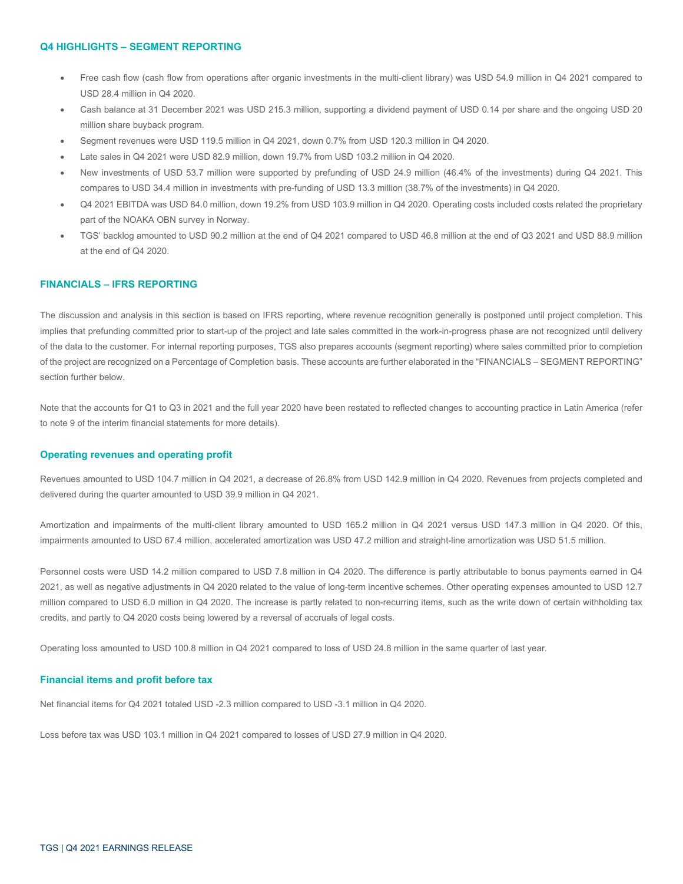# **Q4 HIGHLIGHTS – SEGMENT REPORTING**

- Free cash flow (cash flow from operations after organic investments in the multi-client library) was USD 54.9 million in Q4 2021 compared to USD 28.4 million in Q4 2020.
- Cash balance at 31 December 2021 was USD 215.3 million, supporting a dividend payment of USD 0.14 per share and the ongoing USD 20 million share buyback program.
- Segment revenues were USD 119.5 million in Q4 2021, down 0.7% from USD 120.3 million in Q4 2020.
- Late sales in Q4 2021 were USD 82.9 million, down 19.7% from USD 103.2 million in Q4 2020.
- New investments of USD 53.7 million were supported by prefunding of USD 24.9 million (46.4% of the investments) during Q4 2021. This compares to USD 34.4 million in investments with pre-funding of USD 13.3 million (38.7% of the investments) in Q4 2020.
- Q4 2021 EBITDA was USD 84.0 million, down 19.2% from USD 103.9 million in Q4 2020. Operating costs included costs related the proprietary part of the NOAKA OBN survey in Norway.
- TGS' backlog amounted to USD 90.2 million at the end of Q4 2021 compared to USD 46.8 million at the end of Q3 2021 and USD 88.9 million at the end of Q4 2020.

# **FINANCIALS – IFRS REPORTING**

The discussion and analysis in this section is based on IFRS reporting, where revenue recognition generally is postponed until project completion. This implies that prefunding committed prior to start-up of the project and late sales committed in the work-in-progress phase are not recognized until delivery of the data to the customer. For internal reporting purposes, TGS also prepares accounts (segment reporting) where sales committed prior to completion of the project are recognized on a Percentage of Completion basis. These accounts are further elaborated in the "FINANCIALS – SEGMENT REPORTING" section further below.

Note that the accounts for Q1 to Q3 in 2021 and the full year 2020 have been restated to reflected changes to accounting practice in Latin America (refer to note 9 of the interim financial statements for more details).

## **Operating revenues and operating profit**

Revenues amounted to USD 104.7 million in Q4 2021, a decrease of 26.8% from USD 142.9 million in Q4 2020. Revenues from projects completed and delivered during the quarter amounted to USD 39.9 million in Q4 2021.

Amortization and impairments of the multi-client library amounted to USD 165.2 million in Q4 2021 versus USD 147.3 million in Q4 2020. Of this, impairments amounted to USD 67.4 million, accelerated amortization was USD 47.2 million and straight-line amortization was USD 51.5 million.

Personnel costs were USD 14.2 million compared to USD 7.8 million in Q4 2020. The difference is partly attributable to bonus payments earned in Q4 2021, as well as negative adjustments in Q4 2020 related to the value of long-term incentive schemes. Other operating expenses amounted to USD 12.7 million compared to USD 6.0 million in Q4 2020. The increase is partly related to non-recurring items, such as the write down of certain withholding tax credits, and partly to Q4 2020 costs being lowered by a reversal of accruals of legal costs.

Operating loss amounted to USD 100.8 million in Q4 2021 compared to loss of USD 24.8 million in the same quarter of last year.

#### **Financial items and profit before tax**

Net financial items for Q4 2021 totaled USD -2.3 million compared to USD -3.1 million in Q4 2020.

Loss before tax was USD 103.1 million in Q4 2021 compared to losses of USD 27.9 million in Q4 2020.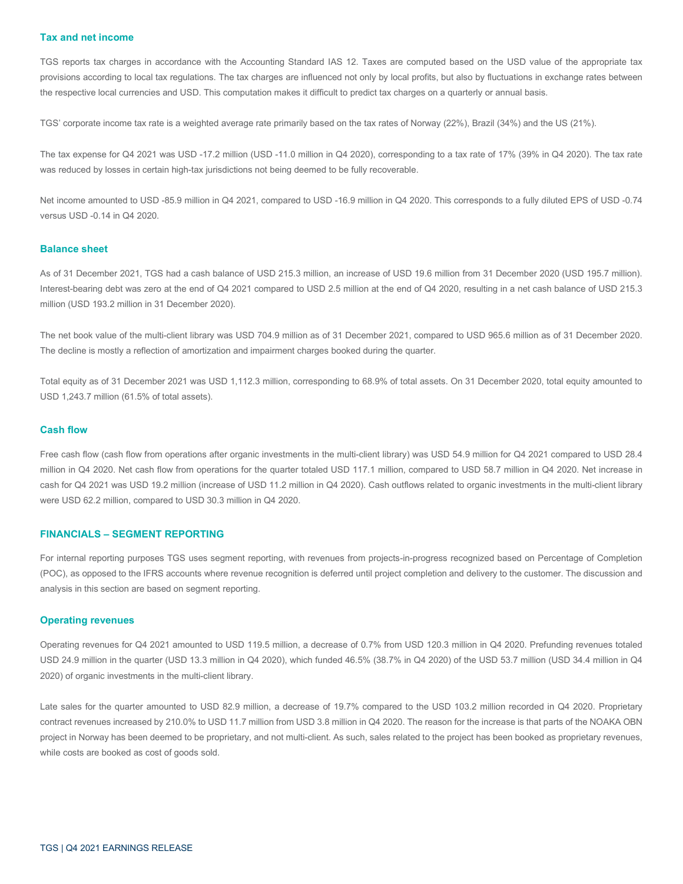#### **Tax and net income**

TGS reports tax charges in accordance with the Accounting Standard IAS 12. Taxes are computed based on the USD value of the appropriate tax provisions according to local tax regulations. The tax charges are influenced not only by local profits, but also by fluctuations in exchange rates between the respective local currencies and USD. This computation makes it difficult to predict tax charges on a quarterly or annual basis.

TGS' corporate income tax rate is a weighted average rate primarily based on the tax rates of Norway (22%), Brazil (34%) and the US (21%).

The tax expense for Q4 2021 was USD -17.2 million (USD -11.0 million in Q4 2020), corresponding to a tax rate of 17% (39% in Q4 2020). The tax rate was reduced by losses in certain high-tax jurisdictions not being deemed to be fully recoverable.

Net income amounted to USD -85.9 million in Q4 2021, compared to USD -16.9 million in Q4 2020. This corresponds to a fully diluted EPS of USD -0.74 versus USD -0.14 in Q4 2020.

# **Balance sheet**

As of 31 December 2021, TGS had a cash balance of USD 215.3 million, an increase of USD 19.6 million from 31 December 2020 (USD 195.7 million). Interest-bearing debt was zero at the end of Q4 2021 compared to USD 2.5 million at the end of Q4 2020, resulting in a net cash balance of USD 215.3 million (USD 193.2 million in 31 December 2020).

The net book value of the multi-client library was USD 704.9 million as of 31 December 2021, compared to USD 965.6 million as of 31 December 2020. The decline is mostly a reflection of amortization and impairment charges booked during the quarter.

Total equity as of 31 December 2021 was USD 1,112.3 million, corresponding to 68.9% of total assets. On 31 December 2020, total equity amounted to USD 1,243.7 million (61.5% of total assets).

#### **Cash flow**

Free cash flow (cash flow from operations after organic investments in the multi-client library) was USD 54.9 million for Q4 2021 compared to USD 28.4 million in Q4 2020. Net cash flow from operations for the quarter totaled USD 117.1 million, compared to USD 58.7 million in Q4 2020. Net increase in cash for Q4 2021 was USD 19.2 million (increase of USD 11.2 million in Q4 2020). Cash outflows related to organic investments in the multi-client library were USD 62.2 million, compared to USD 30.3 million in Q4 2020.

# **FINANCIALS – SEGMENT REPORTING**

For internal reporting purposes TGS uses segment reporting, with revenues from projects-in-progress recognized based on Percentage of Completion (POC), as opposed to the IFRS accounts where revenue recognition is deferred until project completion and delivery to the customer. The discussion and analysis in this section are based on segment reporting.

#### **Operating revenues**

Operating revenues for Q4 2021 amounted to USD 119.5 million, a decrease of 0.7% from USD 120.3 million in Q4 2020. Prefunding revenues totaled USD 24.9 million in the quarter (USD 13.3 million in Q4 2020), which funded 46.5% (38.7% in Q4 2020) of the USD 53.7 million (USD 34.4 million in Q4 2020) of organic investments in the multi-client library.

Late sales for the quarter amounted to USD 82.9 million, a decrease of 19.7% compared to the USD 103.2 million recorded in Q4 2020. Proprietary contract revenues increased by 210.0% to USD 11.7 million from USD 3.8 million in Q4 2020. The reason for the increase is that parts of the NOAKA OBN project in Norway has been deemed to be proprietary, and not multi-client. As such, sales related to the project has been booked as proprietary revenues, while costs are booked as cost of goods sold.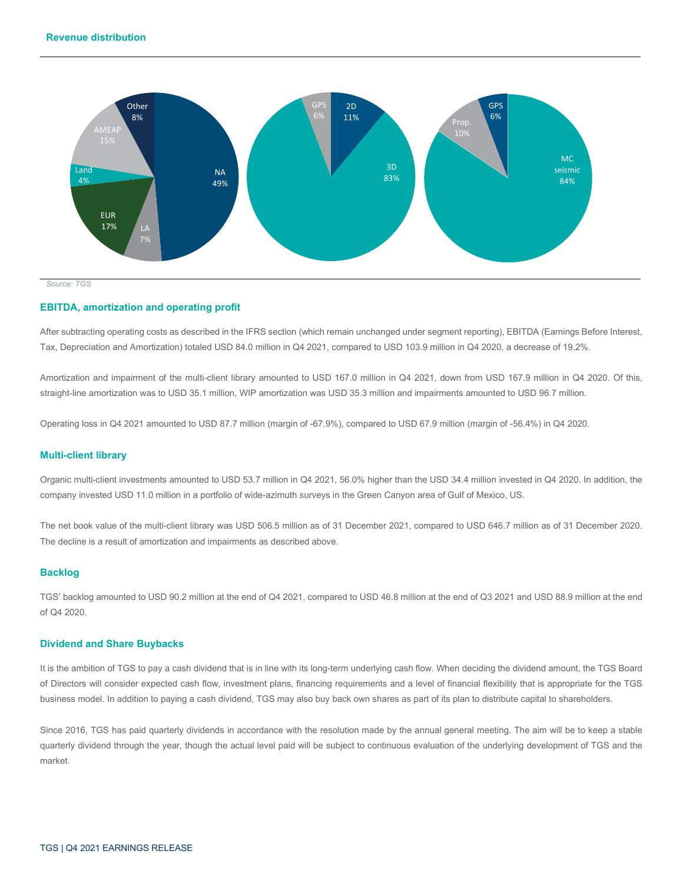

*Source: TGS*

## **EBITDA, amortization and operating profit**

After subtracting operating costs as described in the IFRS section (which remain unchanged under segment reporting), EBITDA (Earnings Before Interest, Tax, Depreciation and Amortization) totaled USD 84.0 million in Q4 2021, compared to USD 103.9 million in Q4 2020, a decrease of 19.2%.

Amortization and impairment of the multi-client library amounted to USD 167.0 million in Q4 2021, down from USD 167.9 million in Q4 2020. Of this, straight-line amortization was to USD 35.1 million, WIP amortization was USD 35.3 million and impairments amounted to USD 96.7 million.

Operating loss in Q4 2021 amounted to USD 87.7 million (margin of -67.9%), compared to USD 67.9 million (margin of -56.4%) in Q4 2020.

## **Multi-client library**

Organic multi-client investments amounted to USD 53.7 million in Q4 2021, 56.0% higher than the USD 34.4 million invested in Q4 2020. In addition, the company invested USD 11.0 million in a portfolio of wide-azimuth surveys in the Green Canyon area of Gulf of Mexico, US.

The net book value of the multi-client library was USD 506.5 million as of 31 December 2021, compared to USD 646.7 million as of 31 December 2020. The decline is a result of amortization and impairments as described above.

# **Backlog**

TGS' backlog amounted to USD 90.2 million at the end of Q4 2021, compared to USD 46.8 million at the end of Q3 2021 and USD 88.9 million at the end of Q4 2020.

# **Dividend and Share Buybacks**

It is the ambition of TGS to pay a cash dividend that is in line with its long-term underlying cash flow. When deciding the dividend amount, the TGS Board of Directors will consider expected cash flow, investment plans, financing requirements and a level of financial flexibility that is appropriate for the TGS business model. In addition to paying a cash dividend, TGS may also buy back own shares as part of its plan to distribute capital to shareholders.

Since 2016, TGS has paid quarterly dividends in accordance with the resolution made by the annual general meeting. The aim will be to keep a stable quarterly dividend through the year, though the actual level paid will be subject to continuous evaluation of the underlying development of TGS and the market.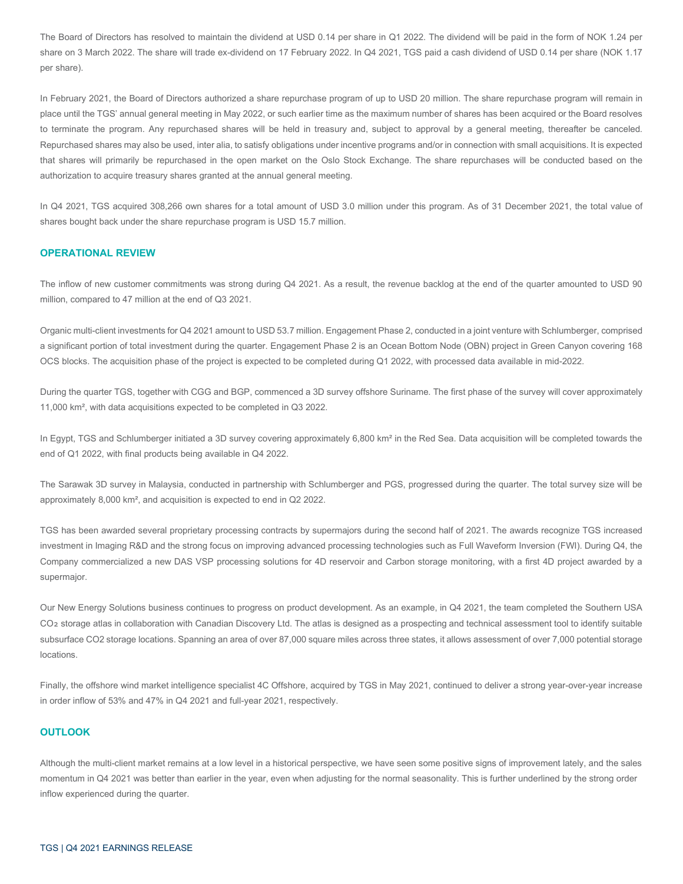The Board of Directors has resolved to maintain the dividend at USD 0.14 per share in Q1 2022. The dividend will be paid in the form of NOK 1.24 per share on 3 March 2022. The share will trade ex-dividend on 17 February 2022. In Q4 2021, TGS paid a cash dividend of USD 0.14 per share (NOK 1.17 per share).

In February 2021, the Board of Directors authorized a share repurchase program of up to USD 20 million. The share repurchase program will remain in place until the TGS' annual general meeting in May 2022, or such earlier time as the maximum number of shares has been acquired or the Board resolves to terminate the program. Any repurchased shares will be held in treasury and, subject to approval by a general meeting, thereafter be canceled. Repurchased shares may also be used, inter alia, to satisfy obligations under incentive programs and/or in connection with small acquisitions. It is expected that shares will primarily be repurchased in the open market on the Oslo Stock Exchange. The share repurchases will be conducted based on the authorization to acquire treasury shares granted at the annual general meeting.

In Q4 2021, TGS acquired 308,266 own shares for a total amount of USD 3.0 million under this program. As of 31 December 2021, the total value of shares bought back under the share repurchase program is USD 15.7 million.

#### **OPERATIONAL REVIEW**

The inflow of new customer commitments was strong during Q4 2021. As a result, the revenue backlog at the end of the quarter amounted to USD 90 million, compared to 47 million at the end of Q3 2021.

Organic multi-client investments for Q4 2021 amount to USD 53.7 million. Engagement Phase 2, conducted in a joint venture with Schlumberger, comprised a significant portion of total investment during the quarter. Engagement Phase 2 is an Ocean Bottom Node (OBN) project in Green Canyon covering 168 OCS blocks. The acquisition phase of the project is expected to be completed during Q1 2022, with processed data available in mid-2022.

During the quarter TGS, together with CGG and BGP, commenced a 3D survey offshore Suriname. The first phase of the survey will cover approximately 11,000 km², with data acquisitions expected to be completed in Q3 2022.

In Egypt, TGS and Schlumberger initiated a 3D survey covering approximately 6,800 km<sup>2</sup> in the Red Sea. Data acquisition will be completed towards the end of Q1 2022, with final products being available in Q4 2022.

The Sarawak 3D survey in Malaysia, conducted in partnership with Schlumberger and PGS, progressed during the quarter. The total survey size will be approximately 8,000 km², and acquisition is expected to end in Q2 2022.

TGS has been awarded several proprietary processing contracts by supermajors during the second half of 2021. The awards recognize TGS increased investment in Imaging R&D and the strong focus on improving advanced processing technologies such as Full Waveform Inversion (FWI). During Q4, the Company commercialized a new DAS VSP processing solutions for 4D reservoir and Carbon storage monitoring, with a first 4D project awarded by a supermajor.

Our New Energy Solutions business continues to progress on product development. As an example, in Q4 2021, the team completed the Southern USA CO<sub>2</sub> storage atlas in collaboration with Canadian Discovery Ltd. The atlas is designed as a prospecting and technical assessment tool to identify suitable subsurface CO2 storage locations. Spanning an area of over 87,000 square miles across three states, it allows assessment of over 7,000 potential storage locations.

Finally, the offshore wind market intelligence specialist 4C Offshore, acquired by TGS in May 2021, continued to deliver a strong year-over-year increase in order inflow of 53% and 47% in Q4 2021 and full-year 2021, respectively.

# **OUTLOOK**

Although the multi-client market remains at a low level in a historical perspective, we have seen some positive signs of improvement lately, and the sales momentum in Q4 2021 was better than earlier in the year, even when adjusting for the normal seasonality. This is further underlined by the strong order inflow experienced during the quarter.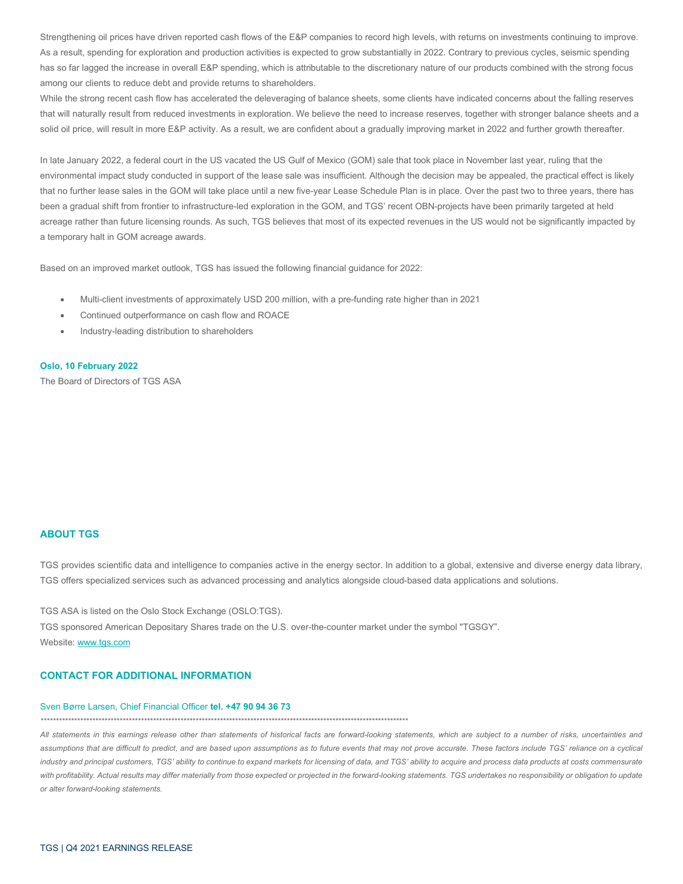Strengthening oil prices have driven reported cash flows of the E&P companies to record high levels, with returns on investments continuing to improve. As a result, spending for exploration and production activities is expected to grow substantially in 2022. Contrary to previous cycles, seismic spending has so far lagged the increase in overall E&P spending, which is attributable to the discretionary nature of our products combined with the strong focus among our clients to reduce debt and provide returns to shareholders.

While the strong recent cash flow has accelerated the deleveraging of balance sheets, some clients have indicated concerns about the falling reserves that will naturally result from reduced investments in exploration. We believe the need to increase reserves, together with stronger balance sheets and a solid oil price, will result in more E&P activity. As a result, we are confident about a gradually improving market in 2022 and further growth thereafter.

In late January 2022, a federal court in the US vacated the US Gulf of Mexico (GOM) sale that took place in November last year, ruling that the environmental impact study conducted in support of the lease sale was insufficient. Although the decision may be appealed, the practical effect is likely that no further lease sales in the GOM will take place until a new five-year Lease Schedule Plan is in place. Over the past two to three years, there has been a gradual shift from frontier to infrastructure-led exploration in the GOM, and TGS' recent OBN-projects have been primarily targeted at held acreage rather than future licensing rounds. As such, TGS believes that most of its expected revenues in the US would not be significantly impacted by a temporary halt in GOM acreage awards.

Based on an improved market outlook, TGS has issued the following financial guidance for 2022:

- Multi-client investments of approximately USD 200 million, with a pre-funding rate higher than in 2021
- Continued outperformance on cash flow and ROACE
- Industry-leading distribution to shareholders

#### **Oslo, 10 February 2022**

The Board of Directors of TGS ASA

# **ABOUT TGS**

TGS provides scientific data and intelligence to companies active in the energy sector. In addition to a global, extensive and diverse energy data library, TGS offers specialized services such as advanced processing and analytics alongside cloud-based data applications and solutions.

TGS ASA is listed on the Oslo Stock Exchange (OSLO:TGS). TGS sponsored American Depositary Shares trade on the U.S. over-the-counter market under the symbol "TGSGY". Website[: www.tgs.com](http://www.tgs.com/)

# **CONTACT FOR ADDITIONAL INFORMATION**

#### Sven Børre Larsen, Chief Financial Officer **tel. +47 90 94 36 73**

*\*\*\*\*\*\*\*\*\*\*\*\*\*\*\*\*\*\*\*\*\*\*\*\*\*\*\*\*\*\*\*\*\*\*\*\*\*\*\*\*\*\*\*\*\*\*\*\*\*\*\*\*\*\*\*\*\*\*\*\*\*\*\*\*\*\*\*\*\*\*\*\*\*\*\*\*\*\*\*\*\*\*\*\*\*\*\*\*\*\*\*\*\*\*\*\*\*\*\*\*\*\*\*\*\*\*\*\*\*\*\*\*\*\*\*\*\*\*\*\*\**

*All statements in this earnings release other than statements of historical facts are forward-looking statements, which are subject to a number of risks, uncertainties and*  assumptions that are difficult to predict, and are based upon assumptions as to future events that may not prove accurate. These factors include TGS' reliance on a cyclical industry and principal customers, TGS' ability to continue to expand markets for licensing of data, and TGS' ability to acquire and process data products at costs commensurate with profitability. Actual results may differ materially from those expected or projected in the forward-looking statements. TGS undertakes no responsibility or obligation to update *or alter forward-looking statements.*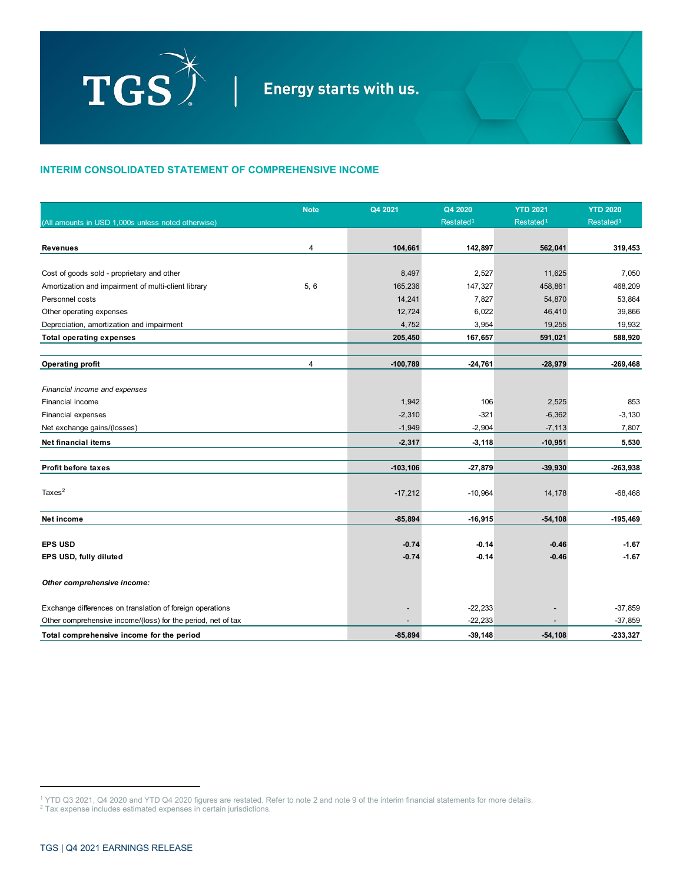

# **INTERIM CONSOLIDATED STATEMENT OF COMPREHENSIVE INCOME**

|                                                              | <b>Note</b>    | Q4 2021     | Q4 2020               | <b>YTD 2021</b>       | <b>YTD 2020</b>       |
|--------------------------------------------------------------|----------------|-------------|-----------------------|-----------------------|-----------------------|
| (All amounts in USD 1,000s unless noted otherwise)           |                |             | Restated <sup>1</sup> | Restated <sup>1</sup> | Restated <sup>1</sup> |
|                                                              |                |             |                       |                       |                       |
| <b>Revenues</b>                                              | $\overline{4}$ | 104,661     | 142,897               | 562,041               | 319,453               |
|                                                              |                |             |                       |                       |                       |
| Cost of goods sold - proprietary and other                   |                | 8,497       | 2,527                 | 11,625                | 7,050                 |
| Amortization and impairment of multi-client library          | 5,6            | 165,236     | 147,327               | 458,861               | 468,209               |
| Personnel costs                                              |                | 14,241      | 7,827                 | 54,870                | 53,864                |
| Other operating expenses                                     |                | 12,724      | 6,022                 | 46,410                | 39,866                |
| Depreciation, amortization and impairment                    |                | 4,752       | 3,954                 | 19,255                | 19,932                |
| <b>Total operating expenses</b>                              |                | 205,450     | 167,657               | 591,021               | 588,920               |
| <b>Operating profit</b>                                      | $\overline{4}$ | $-100,789$  | $-24,761$             | $-28,979$             | $-269,468$            |
|                                                              |                |             |                       |                       |                       |
| Financial income and expenses                                |                |             |                       |                       |                       |
| Financial income                                             |                | 1,942       | 106                   | 2,525                 | 853                   |
| Financial expenses                                           |                | $-2,310$    | $-321$                | $-6,362$              | $-3,130$              |
| Net exchange gains/(losses)                                  |                | $-1,949$    | $-2,904$              | $-7,113$              | 7,807                 |
| Net financial items                                          |                | $-2,317$    | $-3, 118$             | $-10,951$             | 5,530                 |
|                                                              |                |             |                       |                       |                       |
| <b>Profit before taxes</b>                                   |                | $-103, 106$ | $-27,879$             | $-39,930$             | $-263,938$            |
| $Taxes^2$                                                    |                | $-17,212$   | $-10,964$             | 14,178                | $-68,468$             |
| Net income                                                   |                | $-85,894$   | $-16,915$             | $-54,108$             | $-195,469$            |
|                                                              |                |             |                       |                       |                       |
| <b>EPS USD</b>                                               |                | $-0.74$     | $-0.14$               | $-0.46$               | $-1.67$               |
| EPS USD, fully diluted                                       |                | $-0.74$     | $-0.14$               | $-0.46$               | $-1.67$               |
| Other comprehensive income:                                  |                |             |                       |                       |                       |
| Exchange differences on translation of foreign operations    |                |             | $-22,233$             |                       | $-37,859$             |
| Other comprehensive income/(loss) for the period, net of tax |                |             | $-22,233$             |                       | $-37,859$             |
| Total comprehensive income for the period                    |                | $-85.894$   | $-39.148$             | $-54.108$             | $-233,327$            |

<sup>1</sup> YTD Q3 2021, Q4 2020 and YTD Q4 2020 figures are restated. Refer to note 2 and note 9 of the interim financial statements for more details.

<sup>2</sup> Tax expense includes estimated expenses in certain jurisdictions.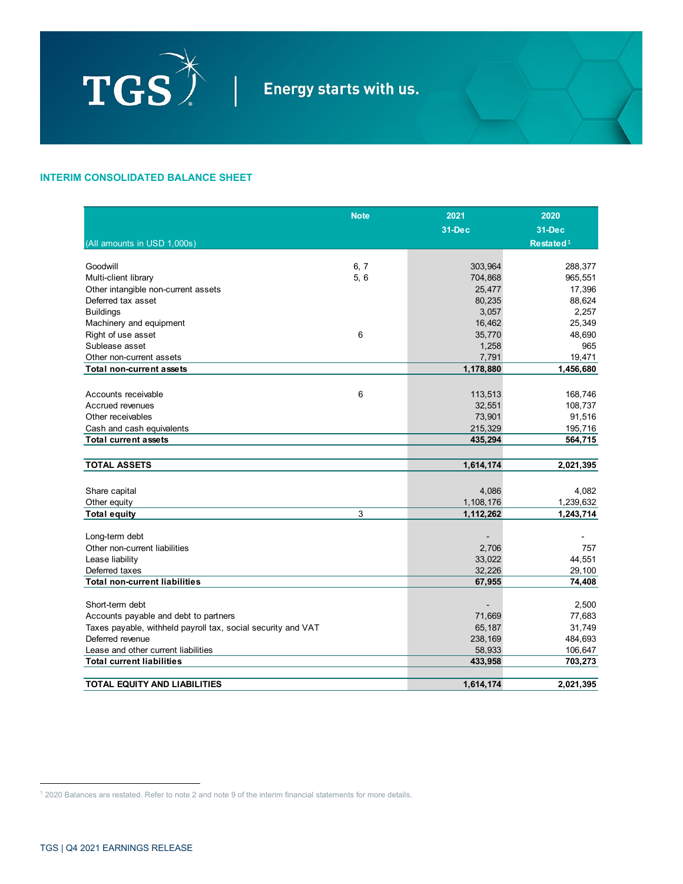

# **INTERIM CONSOLIDATED BALANCE SHEET**

|                                                              | <b>Note</b> | 2021       | 2020                  |
|--------------------------------------------------------------|-------------|------------|-----------------------|
|                                                              |             | $31 - Dec$ | 31-Dec                |
| (All amounts in USD 1,000s)                                  |             |            | $\textsf{Restated}^1$ |
|                                                              |             |            |                       |
| Goodwill                                                     | 6, 7        | 303.964    | 288.377               |
| Multi-client library                                         | 5, 6        | 704,868    | 965,551               |
| Other intangible non-current assets                          |             | 25,477     | 17,396                |
| Deferred tax asset                                           |             | 80,235     | 88,624                |
| <b>Buildings</b>                                             |             | 3,057      | 2,257                 |
| Machinery and equipment                                      |             | 16,462     | 25,349                |
| Right of use asset                                           | 6           | 35,770     | 48,690                |
| Sublease asset                                               |             | 1,258      | 965                   |
| Other non-current assets                                     |             | 7,791      | 19,471                |
| <b>Total non-current assets</b>                              |             | 1,178,880  | 1,456,680             |
|                                                              |             |            |                       |
| Accounts receivable                                          | 6           | 113,513    | 168,746               |
| Accrued revenues                                             |             | 32,551     | 108,737               |
| Other receivables                                            |             | 73,901     | 91,516                |
| Cash and cash equivalents                                    |             | 215,329    | 195,716               |
| <b>Total current assets</b>                                  |             | 435,294    | 564,715               |
|                                                              |             |            |                       |
| <b>TOTAL ASSETS</b>                                          |             | 1,614,174  | 2,021,395             |
|                                                              |             |            |                       |
| Share capital                                                |             | 4,086      | 4,082                 |
| Other equity                                                 |             | 1,108,176  | 1,239,632             |
| <b>Total equity</b>                                          | 3           | 1,112,262  | 1,243,714             |
|                                                              |             |            |                       |
| Long-term debt                                               |             |            |                       |
| Other non-current liabilities                                |             | 2,706      | 757                   |
| Lease liability                                              |             | 33,022     | 44,551                |
| Deferred taxes                                               |             | 32,226     | 29,100                |
| <b>Total non-current liabilities</b>                         |             | 67,955     | 74,408                |
| Short-term debt                                              |             |            | 2,500                 |
| Accounts payable and debt to partners                        |             | 71,669     | 77,683                |
| Taxes payable, withheld payroll tax, social security and VAT |             | 65,187     | 31,749                |
| Deferred revenue                                             |             | 238,169    | 484,693               |
| Lease and other current liabilities                          |             | 58,933     | 106,647               |
| <b>Total current liabilities</b>                             |             | 433,958    | 703,273               |
|                                                              |             |            |                       |
| <b>TOTAL EQUITY AND LIABILITIES</b>                          |             | 1,614,174  | 2,021,395             |

<sup>1</sup> 2020 Balances are restated. Refer to note 2 and note 9 of the interim financial statements for more details.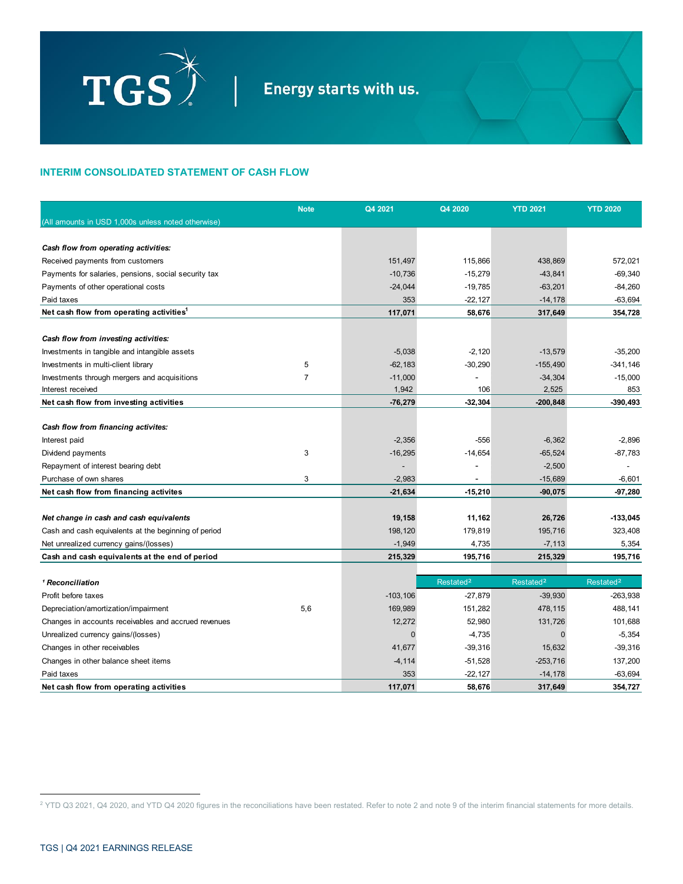

# **INTERIM CONSOLIDATED STATEMENT OF CASH FLOW**

|                                                      | <b>Note</b>    | Q4 2021        | Q4 2020               | <b>YTD 2021</b>       | <b>YTD 2020</b>          |
|------------------------------------------------------|----------------|----------------|-----------------------|-----------------------|--------------------------|
| (All amounts in USD 1,000s unless noted otherwise)   |                |                |                       |                       |                          |
|                                                      |                |                |                       |                       |                          |
| Cash flow from operating activities:                 |                |                |                       |                       |                          |
| Received payments from customers                     |                | 151,497        | 115,866               | 438,869               | 572,021                  |
| Payments for salaries, pensions, social security tax |                | $-10,736$      | $-15,279$             | $-43,841$             | $-69,340$                |
| Payments of other operational costs                  |                | $-24,044$      | $-19,785$             | $-63,201$             | $-84,260$                |
| Paid taxes                                           |                | 353            | $-22,127$             | $-14,178$             | $-63,694$                |
| Net cash flow from operating activities <sup>1</sup> |                | 117,071        | 58,676                | 317,649               | 354,728                  |
|                                                      |                |                |                       |                       |                          |
| Cash flow from investing activities:                 |                |                |                       |                       |                          |
| Investments in tangible and intangible assets        |                | $-5,038$       | $-2,120$              | $-13,579$             | $-35,200$                |
| Investments in multi-client library                  | 5              | $-62,183$      | $-30,290$             | $-155,490$            | -341,146                 |
| Investments through mergers and acquisitions         | $\overline{7}$ | $-11,000$      |                       | $-34,304$             | $-15,000$                |
| Interest received                                    |                | 1,942          | 106                   | 2,525                 | 853                      |
| Net cash flow from investing activities              |                | $-76,279$      | $-32,304$             | $-200,848$            | $-390.493$               |
|                                                      |                |                |                       |                       |                          |
| Cash flow from financing activites:                  |                |                |                       |                       |                          |
| Interest paid                                        |                | $-2,356$       | $-556$                | $-6,362$              | $-2,896$                 |
| Dividend payments                                    | 3              | $-16,295$      | $-14,654$             | $-65,524$             | $-87,783$                |
| Repayment of interest bearing debt                   |                |                |                       | $-2,500$              | $\overline{\phantom{a}}$ |
| Purchase of own shares                               | 3              | $-2,983$       | $\overline{a}$        | $-15,689$             | $-6,601$                 |
| Net cash flow from financing activites               |                | $-21,634$      | $-15,210$             | $-90,075$             | $-97,280$                |
|                                                      |                |                |                       |                       |                          |
| Net change in cash and cash equivalents              |                | 19,158         | 11,162                | 26,726                | $-133,045$               |
| Cash and cash equivalents at the beginning of period |                | 198,120        | 179,819               | 195,716               | 323,408                  |
| Net unrealized currency gains/(losses)               |                | $-1,949$       | 4,735                 | $-7,113$              | 5,354                    |
| Cash and cash equivalents at the end of period       |                | 215,329        | 195,716               | 215,329               | 195,716                  |
| <sup>1</sup> Reconciliation                          |                |                | Restated <sup>2</sup> | Restated <sup>2</sup> | Restated <sup>2</sup>    |
| Profit before taxes                                  |                | $-103, 106$    | $-27,879$             | $-39,930$             | $-263,938$               |
| Depreciation/amortization/impairment                 | 5,6            | 169,989        | 151,282               | 478,115               | 488,141                  |
| Changes in accounts receivables and accrued revenues |                | 12,272         | 52,980                | 131,726               | 101,688                  |
| Unrealized currency gains/(losses)                   |                | $\overline{0}$ | $-4,735$              | $\overline{0}$        | $-5,354$                 |
| Changes in other receivables                         |                | 41,677         | $-39,316$             | 15,632                | $-39,316$                |
| Changes in other balance sheet items                 |                | $-4, 114$      | $-51,528$             | $-253,716$            | 137,200                  |
| Paid taxes                                           |                | 353            | $-22,127$             | $-14,178$             | $-63,694$                |
| Net cash flow from operating activities              |                | 117,071        | 58,676                | 317,649               | 354,727                  |

<sup>&</sup>lt;sup>2</sup> YTD Q3 2021, Q4 2020, and YTD Q4 2020 figures in the reconciliations have been restated. Refer to note 2 and note 9 of the interim financial statements for more details.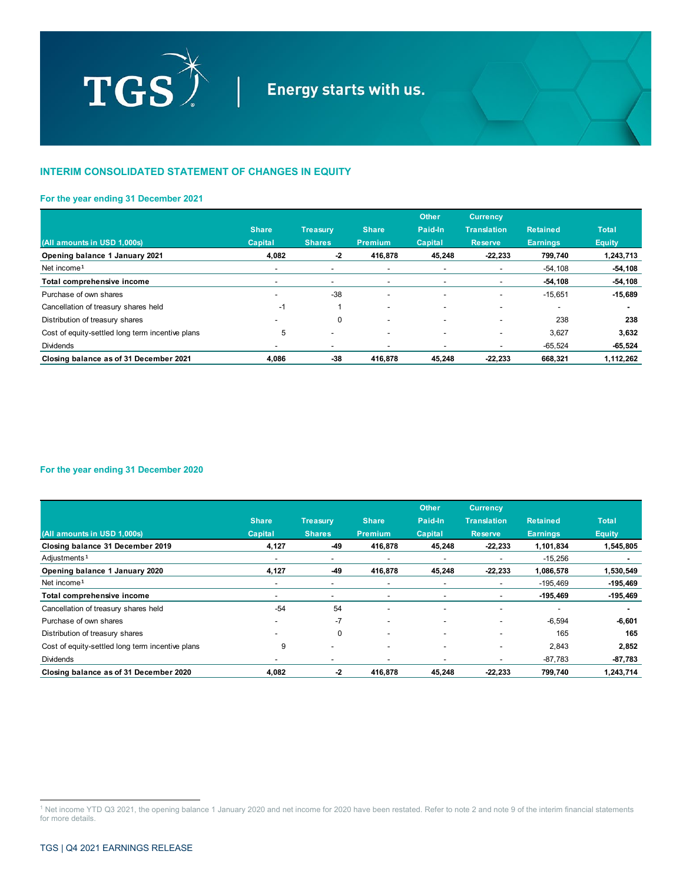

# **INTERIM CONSOLIDATED STATEMENT OF CHANGES IN EQUITY**

# **For the year ending 31 December 2021**

|                                                  |                          |                          |                          | <b>Other</b>             | <b>Currency</b>          |                          |               |
|--------------------------------------------------|--------------------------|--------------------------|--------------------------|--------------------------|--------------------------|--------------------------|---------------|
|                                                  | <b>Share</b>             | <b>Treasurv</b>          | <b>Share</b>             | Paid-In                  | <b>Translation</b>       | <b>Retained</b>          | <b>Total</b>  |
| (All amounts in USD 1,000s)                      | <b>Capital</b>           | <b>Shares</b>            | <b>Premium</b>           | Capital                  | <b>Reserve</b>           | <b>Earnings</b>          | <b>Equity</b> |
| Opening balance 1 January 2021                   | 4,082                    | $-2$                     | 416,878                  | 45,248                   | $-22,233$                | 799,740                  | 1,243,713     |
| Net income <sup>1</sup>                          |                          | $\,$                     | $\overline{\phantom{a}}$ | $\overline{\phantom{a}}$ |                          | $-54,108$                | $-54,108$     |
| Total comprehensive income                       |                          | $\,$                     | $\overline{\phantom{a}}$ | $\overline{\phantom{a}}$ | $\overline{\phantom{a}}$ | $-54,108$                | $-54,108$     |
| Purchase of own shares                           | $\overline{\phantom{a}}$ | $-38$                    | $\overline{\phantom{a}}$ | $\overline{\phantom{a}}$ | $\overline{\phantom{a}}$ | $-15,651$                | $-15,689$     |
| Cancellation of treasury shares held             | -1                       |                          |                          |                          | ۰                        | $\overline{\phantom{a}}$ |               |
| Distribution of treasury shares                  |                          | 0                        | -                        |                          | -                        | 238                      | 238           |
| Cost of equity-settled long term incentive plans | 5                        | $\overline{\phantom{a}}$ | $\overline{\phantom{a}}$ | -                        | $\overline{\phantom{a}}$ | 3,627                    | 3,632         |
| <b>Dividends</b>                                 |                          | $\,$                     | $\overline{\phantom{a}}$ | $\,$                     | $\overline{\phantom{a}}$ | $-65,524$                | $-65,524$     |
| Closing balance as of 31 December 2021           | 4.086                    | $-38$                    | 416.878                  | 45.248                   | $-22.233$                | 668.321                  | 1,112,262     |

# **For the year ending 31 December 2020**

|                                                  |                          |                          |                          | <b>Other</b>             | <b>Currency</b>          |                 |               |
|--------------------------------------------------|--------------------------|--------------------------|--------------------------|--------------------------|--------------------------|-----------------|---------------|
|                                                  | <b>Share</b>             | <b>Treasury</b>          | <b>Share</b>             | Paid-In                  | <b>Translation</b>       | <b>Retained</b> | <b>Total</b>  |
| (All amounts in USD 1,000s)                      | Capital                  | <b>Shares</b>            | <b>Premium</b>           | Capital                  | <b>Reserve</b>           | <b>Earnings</b> | <b>Equity</b> |
| Closing balance 31 December 2019                 | 4,127                    | $-49$                    | 416,878                  | 45,248                   | $-22,233$                | 1,101,834       | 1,545,805     |
| Adjustments <sup>1</sup>                         | $\overline{\phantom{a}}$ | $\overline{\phantom{a}}$ |                          | $\overline{\phantom{a}}$ | $\overline{\phantom{a}}$ | $-15,256$       |               |
| Opening balance 1 January 2020                   | 4,127                    | -49                      | 416,878                  | 45,248                   | $-22,233$                | 1,086,578       | 1,530,549     |
| Net income <sup>1</sup>                          |                          |                          |                          | $\overline{\phantom{a}}$ | $\overline{\phantom{a}}$ | $-195,469$      | $-195,469$    |
| Total comprehensive income                       | $\overline{\phantom{a}}$ | $\,$                     |                          |                          | $\overline{\phantom{a}}$ | $-195,469$      | $-195,469$    |
| Cancellation of treasury shares held             | $-54$                    | 54                       |                          |                          |                          | ٠               |               |
| Purchase of own shares                           |                          | $-7$                     | $\overline{\phantom{a}}$ |                          | $\overline{\phantom{a}}$ | $-6,594$        | $-6,601$      |
| Distribution of treasury shares                  | ۰                        | $\Omega$                 |                          |                          |                          | 165             | 165           |
| Cost of equity-settled long term incentive plans | 9                        | $\overline{\phantom{a}}$ | $\overline{\phantom{a}}$ |                          | $\overline{\phantom{a}}$ | 2,843           | 2,852         |
| <b>Dividends</b>                                 |                          | $\overline{\phantom{a}}$ |                          |                          |                          | -87,783         | $-87,783$     |
| Closing balance as of 31 December 2020           | 4.082                    | -2                       | 416,878                  | 45,248                   | $-22,233$                | 799.740         | 1,243,714     |

<sup>1</sup> Net income YTD Q3 2021, the opening balance 1 January 2020 and net income for 2020 have been restated. Refer to note 2 and note 9 of the interim financial statements for more details.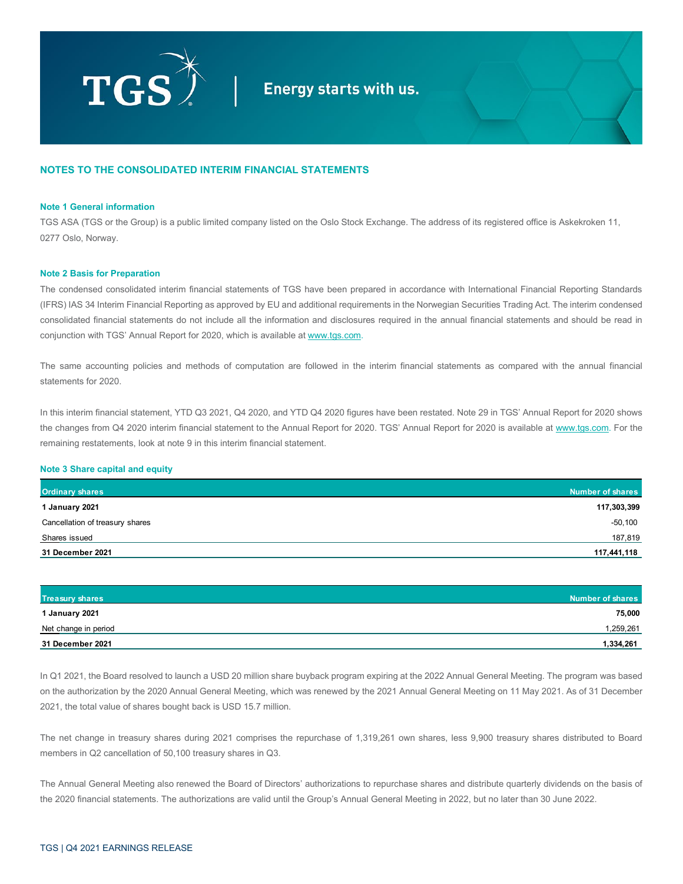

# **Energy starts with us.**

#### **NOTES TO THE CONSOLIDATED INTERIM FINANCIAL STATEMENTS**

#### **Note 1 General information**

TGS ASA (TGS or the Group) is a public limited company listed on the Oslo Stock Exchange. The address of its registered office is Askekroken 11, 0277 Oslo, Norway.

#### **Note 2 Basis for Preparation**

The condensed consolidated interim financial statements of TGS have been prepared in accordance with International Financial Reporting Standards (IFRS) IAS 34 Interim Financial Reporting as approved by EU and additional requirements in the Norwegian Securities Trading Act. The interim condensed consolidated financial statements do not include all the information and disclosures required in the annual financial statements and should be read in conjunction with TGS' Annual Report for 2020, which is available a[t www.tgs.com.](http://www.tgs.com/)

The same accounting policies and methods of computation are followed in the interim financial statements as compared with the annual financial statements for 2020.

In this interim financial statement, YTD Q3 2021, Q4 2020, and YTD Q4 2020 figures have been restated. Note 29 in TGS' Annual Report for 2020 shows the changes from Q4 2020 interim financial statement to the Annual Report for 2020. TGS' Annual Report for 2020 is available at [www.tgs.com.](http://www.tgs.com/) For the remaining restatements, look at note 9 in this interim financial statement.

#### **Note 3 Share capital and equity**

| <b>Ordinary shares</b>          | Number of shares |
|---------------------------------|------------------|
| 1 January 2021                  | 117,303,399      |
| Cancellation of treasury shares | $-50,100$        |
| Shares issued                   | 187,819          |
| 31 December 2021                | 117,441,118      |

| <b>Treasury shares</b> | <b>Number of shares</b> |
|------------------------|-------------------------|
| 1 January 2021         | 75,000                  |
| Net change in period   | 259,261,                |
| 31 December 2021       | 1,334,261               |

In Q1 2021, the Board resolved to launch a USD 20 million share buyback program expiring at the 2022 Annual General Meeting. The program was based on the authorization by the 2020 Annual General Meeting, which was renewed by the 2021 Annual General Meeting on 11 May 2021. As of 31 December 2021, the total value of shares bought back is USD 15.7 million.

The net change in treasury shares during 2021 comprises the repurchase of 1,319,261 own shares, less 9,900 treasury shares distributed to Board members in Q2 cancellation of 50,100 treasury shares in Q3.

The Annual General Meeting also renewed the Board of Directors' authorizations to repurchase shares and distribute quarterly dividends on the basis of the 2020 financial statements. The authorizations are valid until the Group's Annual General Meeting in 2022, but no later than 30 June 2022.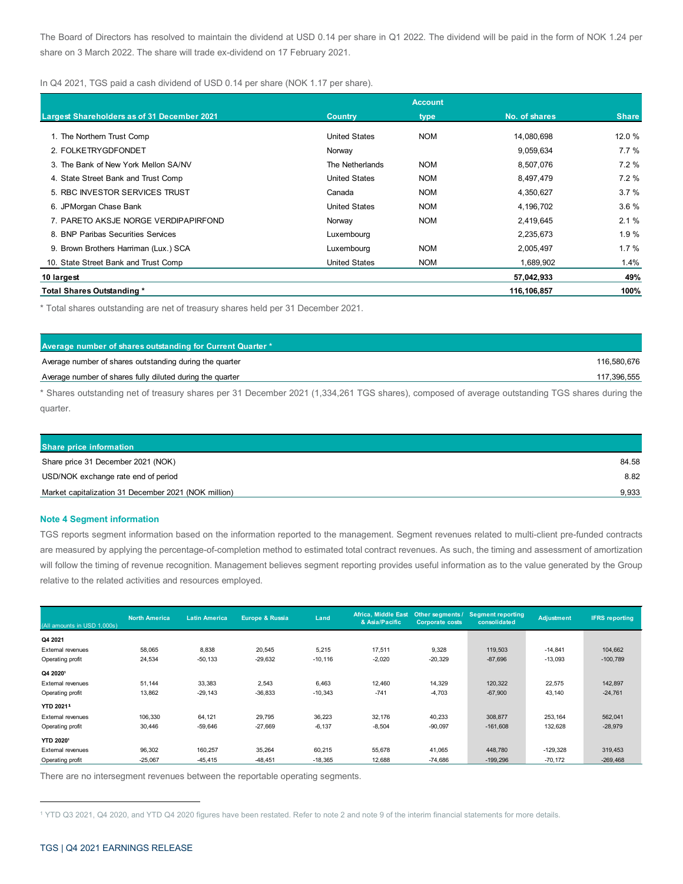The Board of Directors has resolved to maintain the dividend at USD 0.14 per share in Q1 2022. The dividend will be paid in the form of NOK 1.24 per share on 3 March 2022. The share will trade ex-dividend on 17 February 2021.

In Q4 2021, TGS paid a cash dividend of USD 0.14 per share (NOK 1.17 per share).

|                                             |                      | <b>Account</b> |               |              |
|---------------------------------------------|----------------------|----------------|---------------|--------------|
| Largest Shareholders as of 31 December 2021 | <b>Country</b>       | type           | No. of shares | <b>Share</b> |
| 1. The Northern Trust Comp                  | <b>United States</b> | <b>NOM</b>     | 14,080,698    | 12.0 %       |
| 2. FOLKETRYGDFONDET                         | Norway               |                | 9,059,634     | 7.7%         |
| 3. The Bank of New York Mellon SA/NV        | The Netherlands      | <b>NOM</b>     | 8,507,076     | 7.2%         |
| 4. State Street Bank and Trust Comp         | <b>United States</b> | <b>NOM</b>     | 8,497,479     | 7.2%         |
| 5. RBC INVESTOR SERVICES TRUST              | Canada               | <b>NOM</b>     | 4,350,627     | 3.7%         |
| 6. JPMorgan Chase Bank                      | <b>United States</b> | <b>NOM</b>     | 4,196,702     | 3.6%         |
| 7. PARETO AKSJE NORGE VERDIPAPIRFOND        | Norway               | <b>NOM</b>     | 2,419,645     | 2.1%         |
| 8. BNP Paribas Securities Services          | Luxembourg           |                | 2,235,673     | 1.9%         |
| 9. Brown Brothers Harriman (Lux.) SCA       | Luxembourg           | <b>NOM</b>     | 2,005,497     | 1.7%         |
| 10. State Street Bank and Trust Comp        | <b>United States</b> | <b>NOM</b>     | 1,689,902     | 1.4%         |
| 10 largest                                  |                      |                | 57,042,933    | 49%          |
| Total Shares Outstanding *                  |                      |                | 116, 106, 857 | 100%         |

\* Total shares outstanding are net of treasury shares held per 31 December 2021.

| 116.580.676 |
|-------------|
| 117.396.555 |
|             |

\* Shares outstanding net of treasury shares per 31 December 2021 (1,334,261 TGS shares), composed of average outstanding TGS shares during the quarter.

| Share price information                              |       |
|------------------------------------------------------|-------|
| Share price 31 December 2021 (NOK)                   | 84.58 |
| USD/NOK exchange rate end of period                  | 8.82  |
| Market capitalization 31 December 2021 (NOK million) | 9,933 |

### **Note 4 Segment information**

TGS reports segment information based on the information reported to the management. Segment revenues related to multi-client pre-funded contracts are measured by applying the percentage-of-completion method to estimated total contract revenues. As such, the timing and assessment of amortization will follow the timing of revenue recognition. Management believes segment reporting provides useful information as to the value generated by the Group relative to the related activities and resources employed.

| (All amounts in USD 1,000s) | <b>North America</b> | <b>Latin America</b> | Europe & Russia | Land       | Africa. Middle East<br>& Asia/Pacific | Other segments /<br><b>Corporate costs</b> | <b>Segment reporting</b><br>consolidated | <b>Adjustment</b> | <b>IFRS</b> reporting |
|-----------------------------|----------------------|----------------------|-----------------|------------|---------------------------------------|--------------------------------------------|------------------------------------------|-------------------|-----------------------|
| Q4 2021                     |                      |                      |                 |            |                                       |                                            |                                          |                   |                       |
| <b>External revenues</b>    | 58,065               | 8,838                | 20,545          | 5,215      | 17,511                                | 9,328                                      | 119,503                                  | $-14,841$         | 104,662               |
| Operating profit            | 24,534               | $-50, 133$           | $-29,632$       | $-10, 116$ | $-2,020$                              | $-20,329$                                  | $-87,696$                                | $-13,093$         | $-100,789$            |
| Q4 20201                    |                      |                      |                 |            |                                       |                                            |                                          |                   |                       |
| <b>External revenues</b>    | 51,144               | 33,383               | 2,543           | 6,463      | 12,460                                | 14,329                                     | 120,322                                  | 22,575            | 142,897               |
| Operating profit            | 13,862               | $-29,143$            | $-36,833$       | $-10,343$  | $-741$                                | $-4,703$                                   | $-67,900$                                | 43,140            | $-24,761$             |
| YTD 20211                   |                      |                      |                 |            |                                       |                                            |                                          |                   |                       |
| External revenues           | 106,330              | 64,121               | 29,795          | 36,223     | 32,176                                | 40,233                                     | 308,877                                  | 253,164           | 562,041               |
| Operating profit            | 30,446               | $-59,646$            | $-27,669$       | $-6,137$   | $-8,504$                              | $-90,097$                                  | $-161,608$                               | 132,628           | $-28,979$             |
| <b>YTD 20201</b>            |                      |                      |                 |            |                                       |                                            |                                          |                   |                       |
| External revenues           | 96,302               | 160,257              | 35,264          | 60,215     | 55,678                                | 41,065                                     | 448.780                                  | $-129,328$        | 319,453               |
| Operating profit            | $-25,067$            | $-45,415$            | $-48,451$       | $-18,365$  | 12,688                                | $-74,686$                                  | $-199,296$                               | $-70,172$         | $-269,468$            |

There are no intersegment revenues between the reportable operating segments.

<sup>1</sup> YTD Q3 2021, Q4 2020, and YTD Q4 2020 figures have been restated. Refer to note 2 and note 9 of the interim financial statements for more details.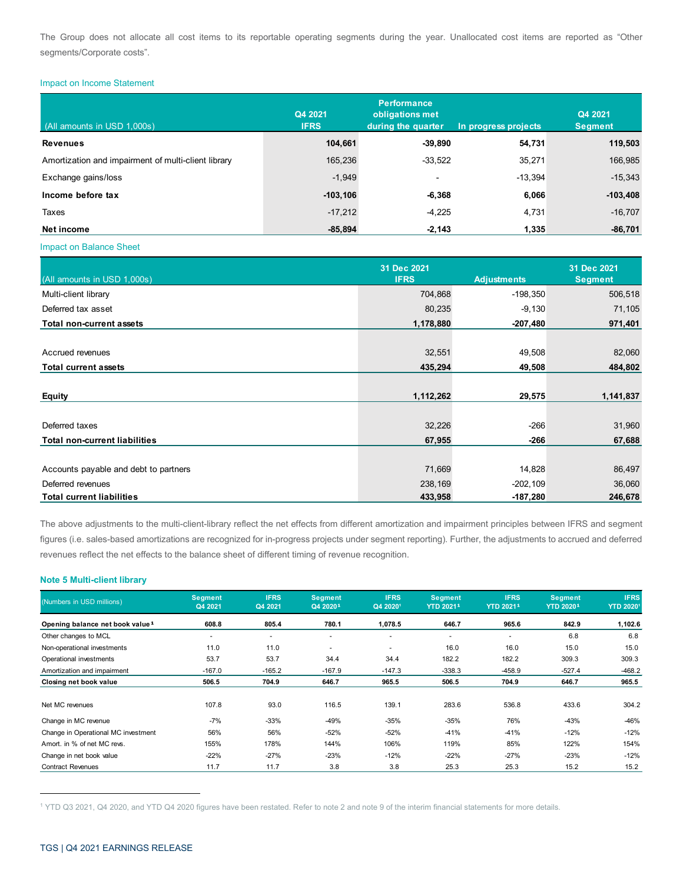The Group does not allocate all cost items to its reportable operating segments during the year. Unallocated cost items are reported as "Other segments/Corporate costs".

#### Impact on Income Statement

| (All amounts in USD 1,000s)                         | Q4 2021<br><b>IFRS</b> | <b>Performance</b><br>obligations met<br>during the quarter | In progress projects | Q4 2021<br><b>Segment</b> |
|-----------------------------------------------------|------------------------|-------------------------------------------------------------|----------------------|---------------------------|
| <b>Revenues</b>                                     | 104,661                | $-39,890$                                                   | 54,731               | 119,503                   |
| Amortization and impairment of multi-client library | 165,236                | $-33,522$                                                   | 35,271               | 166,985                   |
| Exchange gains/loss                                 | $-1,949$               | $\overline{\phantom{a}}$                                    | $-13,394$            | $-15,343$                 |
| Income before tax                                   | $-103, 106$            | $-6,368$                                                    | 6,066                | $-103,408$                |
| <b>Taxes</b>                                        | $-17,212$              | $-4,225$                                                    | 4,731                | $-16,707$                 |
| Net income                                          | $-85,894$              | $-2.143$                                                    | 1.335                | $-86,701$                 |

#### Impact on Balance Sheet

| (All amounts in USD 1,000s)           | 31 Dec 2021<br><b>IFRS</b> | <b>Adjustments</b> | 31 Dec 2021<br><b>Segment</b> |
|---------------------------------------|----------------------------|--------------------|-------------------------------|
|                                       |                            |                    |                               |
| Multi-client library                  | 704,868                    | $-198,350$         | 506,518                       |
| Deferred tax asset                    | 80,235                     | $-9,130$           | 71,105                        |
| <b>Total non-current assets</b>       | 1,178,880                  | $-207,480$         | 971,401                       |
|                                       |                            |                    |                               |
| Accrued revenues                      | 32,551                     | 49,508             | 82,060                        |
| <b>Total current assets</b>           | 435,294                    | 49,508             | 484,802                       |
|                                       |                            |                    |                               |
| <b>Equity</b>                         | 1,112,262                  | 29,575             | 1,141,837                     |
|                                       |                            |                    |                               |
| Deferred taxes                        | 32,226                     | $-266$             | 31,960                        |
| <b>Total non-current liabilities</b>  | 67,955                     | $-266$             | 67,688                        |
|                                       |                            |                    |                               |
| Accounts payable and debt to partners | 71,669                     | 14,828             | 86,497                        |
| Deferred revenues                     | 238,169                    | $-202,109$         | 36,060                        |
| <b>Total current liabilities</b>      | 433,958                    | -187,280           | 246,678                       |

The above adjustments to the multi-client-library reflect the net effects from different amortization and impairment principles between IFRS and segment figures (i.e. sales-based amortizations are recognized for in-progress projects under segment reporting). Further, the adjustments to accrued and deferred revenues reflect the net effects to the balance sheet of different timing of revenue recognition.

#### **Note 5 Multi-client library**

| (Numbers in USD millions)                   | <b>Segment</b><br>Q4 2021 | <b>IFRS</b><br>Q4 2021   | <b>Segment</b><br>Q4 2020 <sup>1</sup> | <b>IFRS</b><br>Q4 2020 <sup>1</sup> | <b>Segment</b><br><b>YTD 20211</b> | <b>IFRS</b><br><b>YTD 20211</b> | <b>Segment</b><br><b>YTD 20201</b> | <b>IFRS</b><br><b>YTD 20201</b> |
|---------------------------------------------|---------------------------|--------------------------|----------------------------------------|-------------------------------------|------------------------------------|---------------------------------|------------------------------------|---------------------------------|
| Opening balance net book value <sup>1</sup> | 608.8                     | 805.4                    | 780.1                                  | 1,078.5                             | 646.7                              | 965.6                           | 842.9                              | 1,102.6                         |
| Other changes to MCL                        | $\overline{a}$            | $\overline{\phantom{a}}$ | $\overline{\phantom{a}}$               | $\overline{a}$                      | $\sim$                             | $\overline{a}$                  | 6.8                                | 6.8                             |
| Non-operational investments                 | 11.0                      | 11.0                     | ۰                                      | $\overline{\phantom{a}}$            | 16.0                               | 16.0                            | 15.0                               | 15.0                            |
| Operational investments                     | 53.7                      | 53.7                     | 34.4                                   | 34.4                                | 182.2                              | 182.2                           | 309.3                              | 309.3                           |
| Amortization and impairment                 | $-167.0$                  | $-165.2$                 | $-167.9$                               | $-147.3$                            | $-338.3$                           | $-458.9$                        | $-527.4$                           | $-468.2$                        |
| Closing net book value                      | 506.5                     | 704.9                    | 646.7                                  | 965.5                               | 506.5                              | 704.9                           | 646.7                              | 965.5                           |
| Net MC revenues                             | 107.8                     | 93.0                     | 116.5                                  | 139.1                               | 283.6                              | 536.8                           | 433.6                              | 304.2                           |
| Change in MC revenue                        | $-7%$                     | $-33%$                   | $-49%$                                 | $-35%$                              | $-35%$                             | 76%                             | $-43%$                             | $-46%$                          |
| Change in Operational MC investment         | 56%                       | 56%                      | $-52%$                                 | $-52%$                              | $-41%$                             | $-41%$                          | $-12%$                             | $-12%$                          |
| Amort. in % of net MC revs.                 | 155%                      | 178%                     | 144%                                   | 106%                                | 119%                               | 85%                             | 122%                               | 154%                            |
| Change in net book value                    | $-22%$                    | $-27%$                   | $-23%$                                 | $-12%$                              | $-22%$                             | $-27%$                          | $-23%$                             | $-12%$                          |
| <b>Contract Revenues</b>                    | 11.7                      | 11.7                     | 3.8                                    | 3.8                                 | 25.3                               | 25.3                            | 15.2                               | 15.2                            |

<sup>1</sup> YTD Q3 2021, Q4 2020, and YTD Q4 2020 figures have been restated. Refer to note 2 and note 9 of the interim financial statements for more details.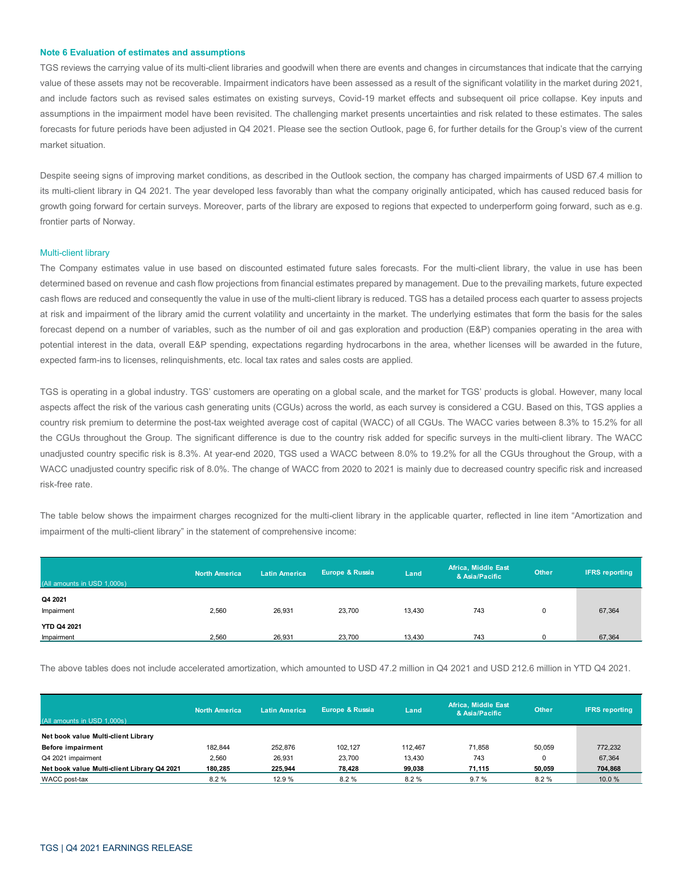#### **Note 6 Evaluation of estimates and assumptions**

TGS reviews the carrying value of its multi-client libraries and goodwill when there are events and changes in circumstances that indicate that the carrying value of these assets may not be recoverable. Impairment indicators have been assessed as a result of the significant volatility in the market during 2021, and include factors such as revised sales estimates on existing surveys, Covid-19 market effects and subsequent oil price collapse. Key inputs and assumptions in the impairment model have been revisited. The challenging market presents uncertainties and risk related to these estimates. The sales forecasts for future periods have been adjusted in Q4 2021. Please see the section Outlook, page 6, for further details for the Group's view of the current market situation.

Despite seeing signs of improving market conditions, as described in the Outlook section, the company has charged impairments of USD 67.4 million to its multi-client library in Q4 2021. The year developed less favorably than what the company originally anticipated, which has caused reduced basis for growth going forward for certain surveys. Moreover, parts of the library are exposed to regions that expected to underperform going forward, such as e.g. frontier parts of Norway.

#### Multi-client library

The Company estimates value in use based on discounted estimated future sales forecasts. For the multi-client library, the value in use has been determined based on revenue and cash flow projections from financial estimates prepared by management. Due to the prevailing markets, future expected cash flows are reduced and consequently the value in use of the multi-client library is reduced. TGS has a detailed process each quarter to assess projects at risk and impairment of the library amid the current volatility and uncertainty in the market. The underlying estimates that form the basis for the sales forecast depend on a number of variables, such as the number of oil and gas exploration and production (E&P) companies operating in the area with potential interest in the data, overall E&P spending, expectations regarding hydrocarbons in the area, whether licenses will be awarded in the future, expected farm-ins to licenses, relinquishments, etc. local tax rates and sales costs are applied.

TGS is operating in a global industry. TGS' customers are operating on a global scale, and the market for TGS' products is global. However, many local aspects affect the risk of the various cash generating units (CGUs) across the world, as each survey is considered a CGU. Based on this, TGS applies a country risk premium to determine the post-tax weighted average cost of capital (WACC) of all CGUs. The WACC varies between 8.3% to 15.2% for all the CGUs throughout the Group. The significant difference is due to the country risk added for specific surveys in the multi-client library. The WACC unadjusted country specific risk is 8.3%. At year-end 2020, TGS used a WACC between 8.0% to 19.2% for all the CGUs throughout the Group, with a WACC unadjusted country specific risk of 8.0%. The change of WACC from 2020 to 2021 is mainly due to decreased country specific risk and increased risk-free rate.

The table below shows the impairment charges recognized for the multi-client library in the applicable quarter, reflected in line item "Amortization and impairment of the multi-client library" in the statement of comprehensive income:

| (All amounts in USD 1,000s)      | <b>North America</b> | Latin America | <b>Europe &amp; Russia</b> | Land   | Africa, Middle East<br>& Asia/Pacific | Other | <b>IFRS</b> reporting |
|----------------------------------|----------------------|---------------|----------------------------|--------|---------------------------------------|-------|-----------------------|
| Q4 2021<br>Impairment            | 2,560                | 26,931        | 23,700                     | 13,430 | 743                                   | 0     | 67,364                |
| <b>YTD Q4 2021</b><br>Impairment | 2,560                | 26,931        | 23,700                     | 13,430 | 743                                   | ŋ     | 67,364                |

The above tables does not include accelerated amortization, which amounted to USD 47.2 million in Q4 2021 and USD 212.6 million in YTD Q4 2021.

| (All amounts in USD 1.000s)                 | <b>North America</b> | <b>Latin America</b> | Europe & Russia | Land    | Africa, Middle East<br>& Asia/Pacific | <b>Other</b> | <b>IFRS</b> reporting |
|---------------------------------------------|----------------------|----------------------|-----------------|---------|---------------------------------------|--------------|-----------------------|
| Net book value Multi-client Library         |                      |                      |                 |         |                                       |              |                       |
| <b>Before impairment</b>                    | 182.844              | 252.876              | 102.127         | 112.467 | 71.858                                | 50.059       | 772.232               |
| Q4 2021 impairment                          | 2.560                | 26.931               | 23.700          | 13,430  | 743                                   | 0            | 67.364                |
| Net book value Multi-client Library Q4 2021 | 180.285              | 225,944              | 78.428          | 99,038  | 71,115                                | 50,059       | 704,868               |
| WACC post-tax                               | 8.2%                 | 12.9 %               | 8.2%            | 8.2%    | 9.7%                                  | 8.2%         | 10.0%                 |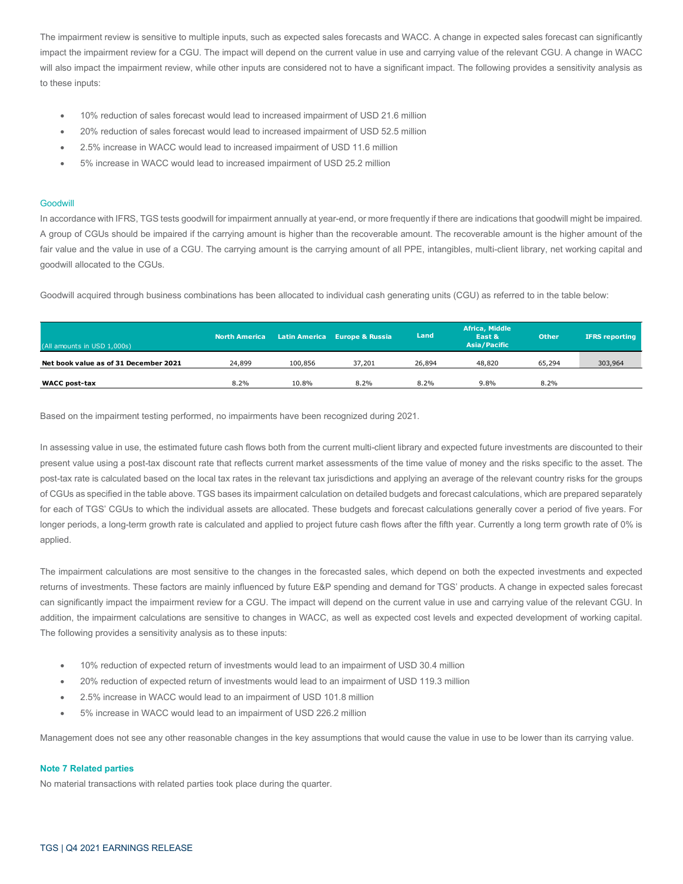The impairment review is sensitive to multiple inputs, such as expected sales forecasts and WACC. A change in expected sales forecast can significantly impact the impairment review for a CGU. The impact will depend on the current value in use and carrying value of the relevant CGU. A change in WACC will also impact the impairment review, while other inputs are considered not to have a significant impact. The following provides a sensitivity analysis as to these inputs:

- 10% reduction of sales forecast would lead to increased impairment of USD 21.6 million
- 20% reduction of sales forecast would lead to increased impairment of USD 52.5 million
- 2.5% increase in WACC would lead to increased impairment of USD 11.6 million
- 5% increase in WACC would lead to increased impairment of USD 25.2 million

#### **Goodwill**

In accordance with IFRS, TGS tests goodwill for impairment annually at year-end, or more frequently if there are indications that goodwill might be impaired. A group of CGUs should be impaired if the carrying amount is higher than the recoverable amount. The recoverable amount is the higher amount of the fair value and the value in use of a CGU. The carrying amount is the carrying amount of all PPE, intangibles, multi-client library, net working capital and goodwill allocated to the CGUs.

Goodwill acquired through business combinations has been allocated to individual cash generating units (CGU) as referred to in the table below:

| (All amounts in USD 1,000s)           | <b>North America</b> |         | Latin America Europe & Russia | Land   | Africa, Middle<br>East &<br>Asia/Pacific | <b>Other</b> | IFRS reporting |
|---------------------------------------|----------------------|---------|-------------------------------|--------|------------------------------------------|--------------|----------------|
| Net book value as of 31 December 2021 | 24,899               | 100.856 | 37,201                        | 26,894 | 48,820                                   | 65,294       | 303,964        |
| WACC post-tax                         | 8.2%                 | 10.8%   | 8.2%                          | 8.2%   | 9.8%                                     | 8.2%         |                |

Based on the impairment testing performed, no impairments have been recognized during 2021.

In assessing value in use, the estimated future cash flows both from the current multi-client library and expected future investments are discounted to their present value using a post-tax discount rate that reflects current market assessments of the time value of money and the risks specific to the asset. The post-tax rate is calculated based on the local tax rates in the relevant tax jurisdictions and applying an average of the relevant country risks for the groups of CGUs as specified in the table above. TGS bases its impairment calculation on detailed budgets and forecast calculations, which are prepared separately for each of TGS' CGUs to which the individual assets are allocated. These budgets and forecast calculations generally cover a period of five years. For longer periods, a long-term growth rate is calculated and applied to project future cash flows after the fifth year. Currently a long term growth rate of 0% is applied.

The impairment calculations are most sensitive to the changes in the forecasted sales, which depend on both the expected investments and expected returns of investments. These factors are mainly influenced by future E&P spending and demand for TGS' products. A change in expected sales forecast can significantly impact the impairment review for a CGU. The impact will depend on the current value in use and carrying value of the relevant CGU. In addition, the impairment calculations are sensitive to changes in WACC, as well as expected cost levels and expected development of working capital. The following provides a sensitivity analysis as to these inputs:

- 10% reduction of expected return of investments would lead to an impairment of USD 30.4 million
- 20% reduction of expected return of investments would lead to an impairment of USD 119.3 million
- 2.5% increase in WACC would lead to an impairment of USD 101.8 million
- 5% increase in WACC would lead to an impairment of USD 226.2 million

Management does not see any other reasonable changes in the key assumptions that would cause the value in use to be lower than its carrying value.

#### **Note 7 Related parties**

No material transactions with related parties took place during the quarter.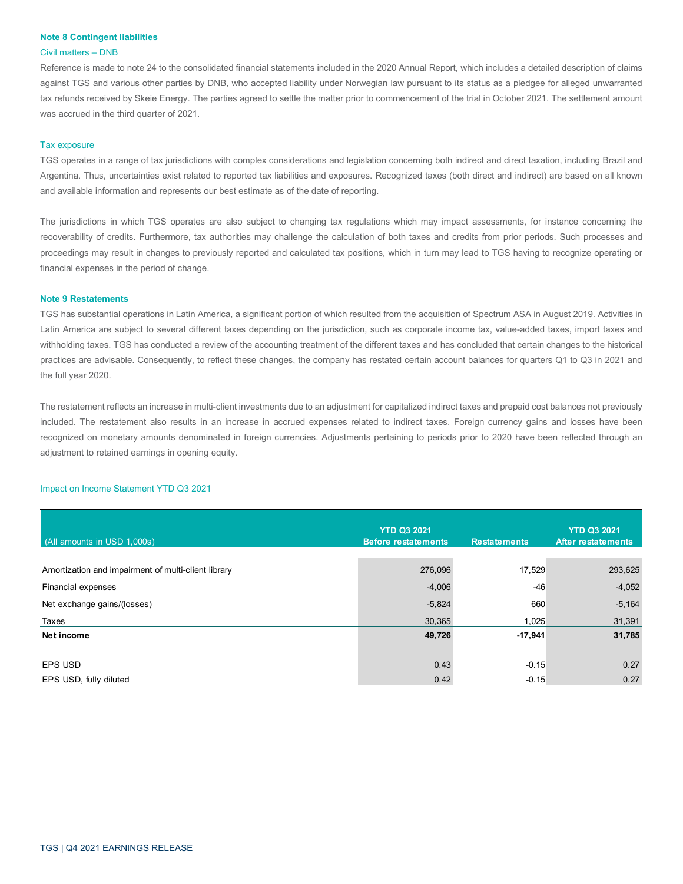#### **Note 8 Contingent liabilities**

#### Civil matters – DNB

Reference is made to note 24 to the consolidated financial statements included in the 2020 Annual Report, which includes a detailed description of claims against TGS and various other parties by DNB, who accepted liability under Norwegian law pursuant to its status as a pledgee for alleged unwarranted tax refunds received by Skeie Energy. The parties agreed to settle the matter prior to commencement of the trial in October 2021. The settlement amount was accrued in the third quarter of 2021.

#### Tax exposure

TGS operates in a range of tax jurisdictions with complex considerations and legislation concerning both indirect and direct taxation, including Brazil and Argentina. Thus, uncertainties exist related to reported tax liabilities and exposures. Recognized taxes (both direct and indirect) are based on all known and available information and represents our best estimate as of the date of reporting.

The jurisdictions in which TGS operates are also subject to changing tax regulations which may impact assessments, for instance concerning the recoverability of credits. Furthermore, tax authorities may challenge the calculation of both taxes and credits from prior periods. Such processes and proceedings may result in changes to previously reported and calculated tax positions, which in turn may lead to TGS having to recognize operating or financial expenses in the period of change.

# **Note 9 Restatements**

TGS has substantial operations in Latin America, a significant portion of which resulted from the acquisition of Spectrum ASA in August 2019. Activities in Latin America are subject to several different taxes depending on the jurisdiction, such as corporate income tax, value-added taxes, import taxes and withholding taxes. TGS has conducted a review of the accounting treatment of the different taxes and has concluded that certain changes to the historical practices are advisable. Consequently, to reflect these changes, the company has restated certain account balances for quarters Q1 to Q3 in 2021 and the full year 2020.

The restatement reflects an increase in multi-client investments due to an adjustment for capitalized indirect taxes and prepaid cost balances not previously included. The restatement also results in an increase in accrued expenses related to indirect taxes. Foreign currency gains and losses have been recognized on monetary amounts denominated in foreign currencies. Adjustments pertaining to periods prior to 2020 have been reflected through an adjustment to retained earnings in opening equity.

#### Impact on Income Statement YTD Q3 2021

|                                                     | <b>YTD Q3 2021</b>         |                     | <b>YTD Q3 2021</b> |
|-----------------------------------------------------|----------------------------|---------------------|--------------------|
| (All amounts in USD 1,000s)                         | <b>Before restatements</b> | <b>Restatements</b> | After restatements |
|                                                     |                            |                     |                    |
| Amortization and impairment of multi-client library | 276,096                    | 17,529              | 293,625            |
| Financial expenses                                  | $-4,006$                   | $-46$               | $-4,052$           |
| Net exchange gains/(losses)                         | $-5,824$                   | 660                 | $-5,164$           |
| Taxes                                               | 30,365                     | 1,025               | 31,391             |
| Net income                                          | 49,726                     | $-17,941$           | 31,785             |
|                                                     |                            |                     |                    |
| <b>EPS USD</b>                                      | 0.43                       | $-0.15$             | 0.27               |
| EPS USD, fully diluted                              | 0.42                       | $-0.15$             | 0.27               |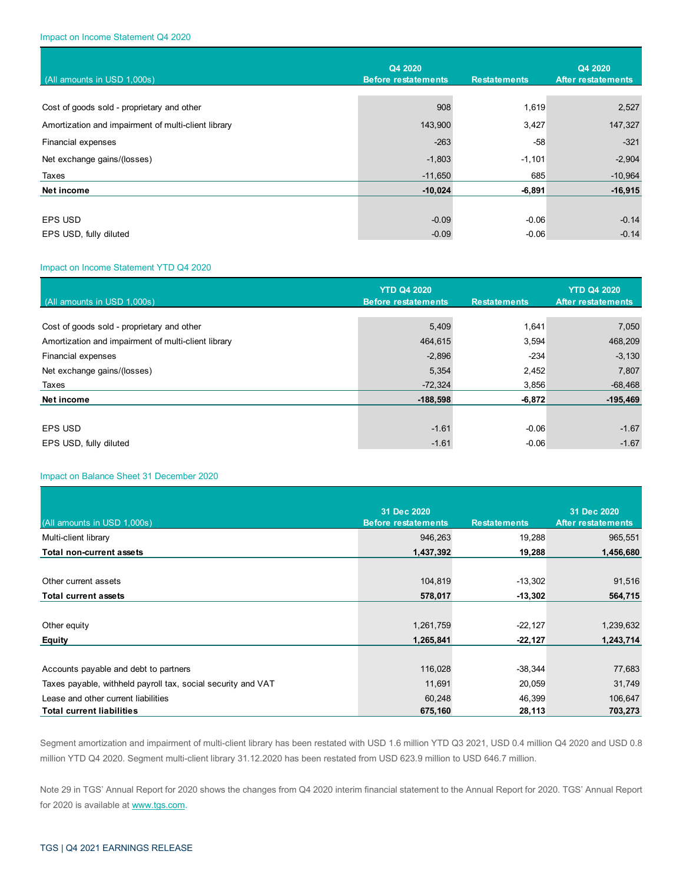# Impact on Income Statement Q4 2020

| (All amounts in USD 1,000s)                         | Q4 2020<br><b>Before restatements</b> | <b>Restatements</b> | Q4 2020<br>After restatements |
|-----------------------------------------------------|---------------------------------------|---------------------|-------------------------------|
| Cost of goods sold - proprietary and other          | 908                                   | 1,619               | 2,527                         |
| Amortization and impairment of multi-client library | 143,900                               | 3,427               | 147,327                       |
| <b>Financial expenses</b>                           | $-263$                                | $-58$               | $-321$                        |
| Net exchange gains/(losses)                         | $-1,803$                              | $-1,101$            | $-2,904$                      |
| Taxes                                               | $-11,650$                             | 685                 | $-10,964$                     |
| Net income                                          | $-10,024$                             | $-6,891$            | $-16,915$                     |
|                                                     |                                       |                     |                               |
| <b>EPS USD</b>                                      | $-0.09$                               | $-0.06$             | $-0.14$                       |
| EPS USD, fully diluted                              | $-0.09$                               | $-0.06$             | $-0.14$                       |

#### Impact on Income Statement YTD Q4 2020

| (All amounts in USD 1,000s)                         | <b>YTD Q4 2020</b><br><b>Before restatements</b> | <b>Restatements</b> | <b>YTD Q4 2020</b><br>After restatements |
|-----------------------------------------------------|--------------------------------------------------|---------------------|------------------------------------------|
|                                                     |                                                  |                     |                                          |
| Cost of goods sold - proprietary and other          | 5,409                                            | 1,641               | 7,050                                    |
| Amortization and impairment of multi-client library | 464,615                                          | 3,594               | 468,209                                  |
| Financial expenses                                  | $-2,896$                                         | $-234$              | $-3,130$                                 |
| Net exchange gains/(losses)                         | 5,354                                            | 2,452               | 7,807                                    |
| Taxes                                               | $-72,324$                                        | 3,856               | $-68,468$                                |
| Net income                                          | $-188,598$                                       | $-6,872$            | $-195,469$                               |
|                                                     |                                                  |                     |                                          |
| <b>EPS USD</b>                                      | $-1.61$                                          | $-0.06$             | $-1.67$                                  |
| EPS USD, fully diluted                              | $-1.61$                                          | $-0.06$             | $-1.67$                                  |

# Impact on Balance Sheet 31 December 2020

|                                                              | 31 Dec 2020                |                     | 31 Dec 2020        |
|--------------------------------------------------------------|----------------------------|---------------------|--------------------|
| (All amounts in USD 1,000s)                                  | <b>Before restatements</b> | <b>Restatements</b> | After restatements |
| Multi-client library                                         | 946,263                    | 19,288              | 965,551            |
| <b>Total non-current assets</b>                              | 1,437,392                  | 19,288              | 1,456,680          |
|                                                              |                            |                     |                    |
| Other current assets                                         | 104,819                    | $-13,302$           | 91,516             |
| <b>Total current assets</b>                                  | 578,017                    | $-13,302$           | 564,715            |
|                                                              |                            |                     |                    |
| Other equity                                                 | 1,261,759                  | $-22,127$           | 1,239,632          |
| <b>Equity</b>                                                | 1,265,841                  | $-22,127$           | 1,243,714          |
|                                                              |                            |                     |                    |
| Accounts payable and debt to partners                        | 116,028                    | $-38,344$           | 77,683             |
| Taxes payable, withheld payroll tax, social security and VAT | 11,691                     | 20,059              | 31,749             |
| Lease and other current liabilities                          | 60,248                     | 46,399              | 106,647            |
| <b>Total current liabilities</b>                             | 675,160                    | 28,113              | 703,273            |

Segment amortization and impairment of multi-client library has been restated with USD 1.6 million YTD Q3 2021, USD 0.4 million Q4 2020 and USD 0.8 million YTD Q4 2020. Segment multi-client library 31.12.2020 has been restated from USD 623.9 million to USD 646.7 million.

Note 29 in TGS' Annual Report for 2020 shows the changes from Q4 2020 interim financial statement to the Annual Report for 2020. TGS' Annual Report for 2020 is available a[t www.tgs.com.](http://www.tgs.com/)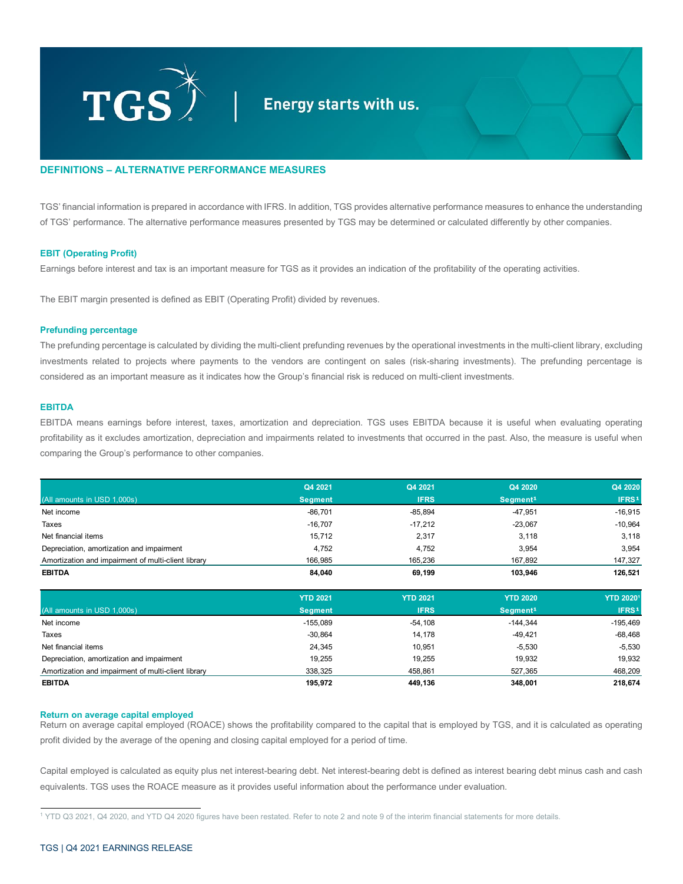

# Energy starts with us.

## **DEFINITIONS – ALTERNATIVE PERFORMANCE MEASURES**

TGS' financial information is prepared in accordance with IFRS. In addition, TGS provides alternative performance measures to enhance the understanding of TGS' performance. The alternative performance measures presented by TGS may be determined or calculated differently by other companies.

#### **EBIT (Operating Profit)**

Earnings before interest and tax is an important measure for TGS as it provides an indication of the profitability of the operating activities.

The EBIT margin presented is defined as EBIT (Operating Profit) divided by revenues.

## **Prefunding percentage**

The prefunding percentage is calculated by dividing the multi-client prefunding revenues by the operational investments in the multi-client library, excluding investments related to projects where payments to the vendors are contingent on sales (risk-sharing investments). The prefunding percentage is considered as an important measure as it indicates how the Group's financial risk is reduced on multi-client investments.

#### **EBITDA**

EBITDA means earnings before interest, taxes, amortization and depreciation. TGS uses EBITDA because it is useful when evaluating operating profitability as it excludes amortization, depreciation and impairments related to investments that occurred in the past. Also, the measure is useful when comparing the Group's performance to other companies.

|                                                     | Q4 2021         | Q4 2021         | Q4 2020              | Q4 2020           |
|-----------------------------------------------------|-----------------|-----------------|----------------------|-------------------|
| (All amounts in USD 1,000s)                         | <b>Segment</b>  | <b>IFRS</b>     | Segment <sup>1</sup> | IFRS <sup>1</sup> |
| Net income                                          | $-86,701$       | $-85,894$       | $-47,951$            | $-16,915$         |
| Taxes                                               | $-16,707$       | $-17,212$       | $-23,067$            | $-10,964$         |
| Net financial items                                 | 15,712          | 2,317           | 3,118                | 3,118             |
| Depreciation, amortization and impairment           | 4,752           | 4,752           | 3,954                | 3,954             |
| Amortization and impairment of multi-client library | 166,985         | 165,236         | 167,892              | 147,327           |
| <b>EBITDA</b>                                       | 84,040          | 69,199          | 103,946              | 126,521           |
|                                                     |                 |                 |                      |                   |
|                                                     |                 |                 |                      |                   |
|                                                     | <b>YTD 2021</b> | <b>YTD 2021</b> | <b>YTD 2020</b>      | <b>YTD 20201</b>  |
| (All amounts in USD 1,000s)                         | <b>Segment</b>  | <b>IFRS</b>     | Segment <sup>1</sup> | IFRS <sup>1</sup> |
| Net income                                          | $-155,089$      | $-54,108$       | $-144,344$           | $-195,469$        |
| Taxes                                               | $-30,864$       | 14,178          | $-49,421$            | $-68,468$         |
| Net financial items                                 | 24,345          | 10,951          | $-5,530$             | $-5,530$          |
| Depreciation, amortization and impairment           | 19,255          | 19,255          | 19,932               | 19,932            |
| Amortization and impairment of multi-client library | 338,325         | 458,861         | 527,365              | 468,209           |

#### **Return on average capital employed**

Return on average capital employed (ROACE) shows the profitability compared to the capital that is employed by TGS, and it is calculated as operating profit divided by the average of the opening and closing capital employed for a period of time.

Capital employed is calculated as equity plus net interest-bearing debt. Net interest-bearing debt is defined as interest bearing debt minus cash and cash equivalents. TGS uses the ROACE measure as it provides useful information about the performance under evaluation.

<sup>1</sup> YTD Q3 2021, Q4 2020, and YTD Q4 2020 figures have been restated. Refer to note 2 and note 9 of the interim financial statements for more details.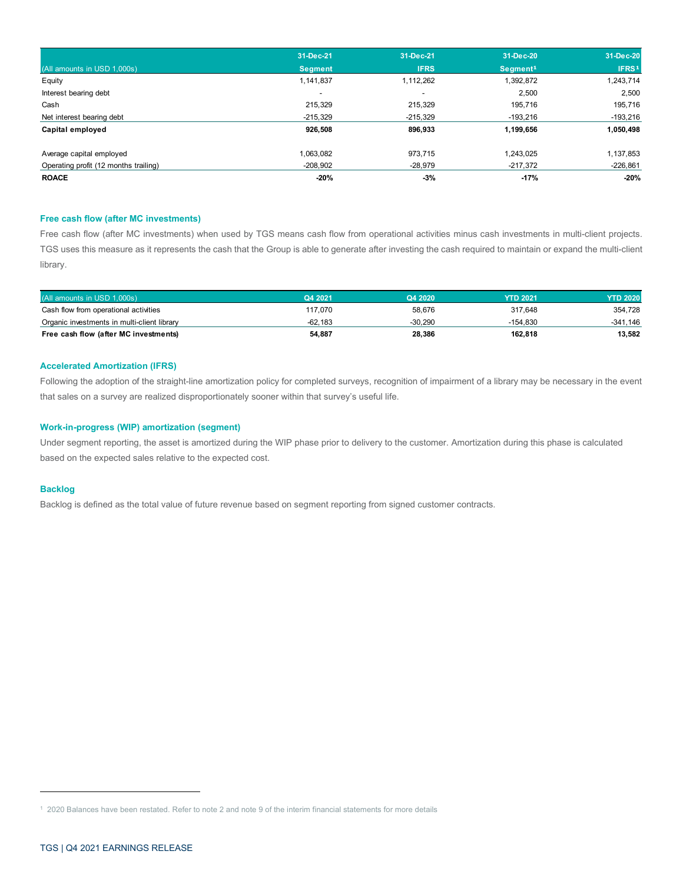|                                       | 31-Dec-21                | 31-Dec-21                | 31-Dec-20            | 31-Dec-20         |
|---------------------------------------|--------------------------|--------------------------|----------------------|-------------------|
| (All amounts in USD 1,000s)           | <b>Segment</b>           | <b>IFRS</b>              | Segment <sup>1</sup> | IFRS <sup>1</sup> |
| Equity                                | 1,141,837                | 1,112,262                | 1,392,872            | 1,243,714         |
| Interest bearing debt                 | $\overline{\phantom{a}}$ | $\overline{\phantom{a}}$ | 2,500                | 2,500             |
| Cash                                  | 215.329                  | 215,329                  | 195.716              | 195,716           |
| Net interest bearing debt             | $-215.329$               | $-215.329$               | $-193.216$           | -193,216          |
| Capital employed                      | 926,508                  | 896,933                  | 1,199,656            | 1,050,498         |
| Average capital employed              | 1,063,082                | 973.715                  | 1.243.025            | 1,137,853         |
| Operating profit (12 months trailing) | $-208,902$               | $-28,979$                | $-217,372$           | $-226,861$        |
| <b>ROACE</b>                          | $-20%$                   | $-3%$                    | $-17%$               | $-20%$            |

# **Free cash flow (after MC investments)**

Free cash flow (after MC investments) when used by TGS means cash flow from operational activities minus cash investments in multi-client projects. TGS uses this measure as it represents the cash that the Group is able to generate after investing the cash required to maintain or expand the multi-client library.

| (All amounts in USD 1.000s)                 | Q4 2021   | Q4 2020   | <b>YTD 2021</b> | <b>YTD 2020</b> |
|---------------------------------------------|-----------|-----------|-----------------|-----------------|
| Cash flow from operational activities       | 117.070   | 58.676    | 317.648         | 354.728         |
| Organic investments in multi-client library | $-62.183$ | $-30.290$ | $-154.830$      | -341.146        |
| Free cash flow (after MC investments)       | 54,887    | 28,386    | 162.818         | 13,582          |

# **Accelerated Amortization (IFRS)**

Following the adoption of the straight-line amortization policy for completed surveys, recognition of impairment of a library may be necessary in the event that sales on a survey are realized disproportionately sooner within that survey's useful life.

#### **Work-in-progress (WIP) amortization (segment)**

Under segment reporting, the asset is amortized during the WIP phase prior to delivery to the customer. Amortization during this phase is calculated based on the expected sales relative to the expected cost.

#### **Backlog**

Backlog is defined as the total value of future revenue based on segment reporting from signed customer contracts.

<sup>1</sup> 2020 Balances have been restated. Refer to note 2 and note 9 of the interim financial statements for more details